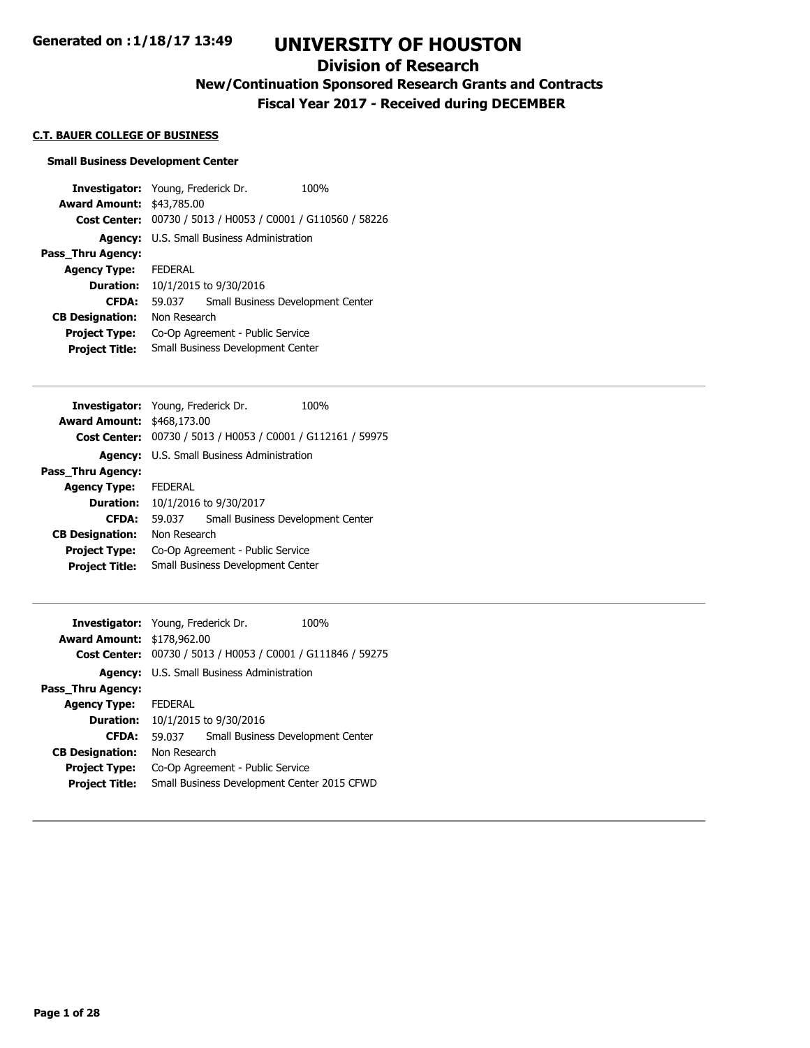### **Division of Research**

**New/Continuation Sponsored Research Grants and Contracts**

**Fiscal Year 2017 - Received during DECEMBER**

#### **C.T. BAUER COLLEGE OF BUSINESS**

#### **Small Business Development Center**

**Investigator:** Young, Frederick Dr. 100% **Award Amount:** \$43,785.00 **Cost Center:** 00730 / 5013 / H0053 / C0001 / G110560 / 58226 **Agency:** U.S. Small Business Administration **Pass\_Thru Agency: Agency Type:** FEDERAL **Duration:** 10/1/2015 to 9/30/2016 **CFDA:** 59.037 Small Business Development Center **CB Designation:** Non Research **Project Type:** Co-Op Agreement - Public Service **Project Title:** Small Business Development Center

| <b>Investigator:</b> Young, Frederick Dr. |                                    |                                                             | 100% |
|-------------------------------------------|------------------------------------|-------------------------------------------------------------|------|
| <b>Award Amount: \$468,173.00</b>         |                                    |                                                             |      |
|                                           |                                    | Cost Center: 00730 / 5013 / H0053 / C0001 / G112161 / 59975 |      |
| <b>Agency:</b>                            | U.S. Small Business Administration |                                                             |      |
| Pass Thru Agency:                         |                                    |                                                             |      |
| <b>Agency Type:</b>                       | <b>FFDFRAI</b>                     |                                                             |      |
| <b>Duration:</b>                          | 10/1/2016 to 9/30/2017             |                                                             |      |
| <b>CFDA:</b>                              | 59.037                             | Small Business Development Center                           |      |
| <b>CB Designation:</b>                    | Non Research                       |                                                             |      |
| <b>Project Type:</b>                      | Co-Op Agreement - Public Service   |                                                             |      |
| <b>Project Title:</b>                     | Small Business Development Center  |                                                             |      |
|                                           |                                    |                                                             |      |

| <b>Investigator:</b> Young, Frederick Dr. |                                             |                                                | 100% |
|-------------------------------------------|---------------------------------------------|------------------------------------------------|------|
| <b>Award Amount: \$178,962.00</b>         |                                             |                                                |      |
| <b>Cost Center:</b>                       |                                             | 00730 / 5013 / H0053 / C0001 / G111846 / 59275 |      |
| Agency:                                   |                                             | U.S. Small Business Administration             |      |
| Pass_Thru Agency:                         |                                             |                                                |      |
| <b>Agency Type:</b>                       | <b>FFDFRAI</b>                              |                                                |      |
| Duration:                                 | 10/1/2015 to 9/30/2016                      |                                                |      |
| <b>CFDA:</b>                              | 59.037                                      | Small Business Development Center              |      |
| <b>CB Designation:</b>                    | Non Research                                |                                                |      |
| <b>Project Type:</b>                      | Co-Op Agreement - Public Service            |                                                |      |
| <b>Project Title:</b>                     | Small Business Development Center 2015 CFWD |                                                |      |
|                                           |                                             |                                                |      |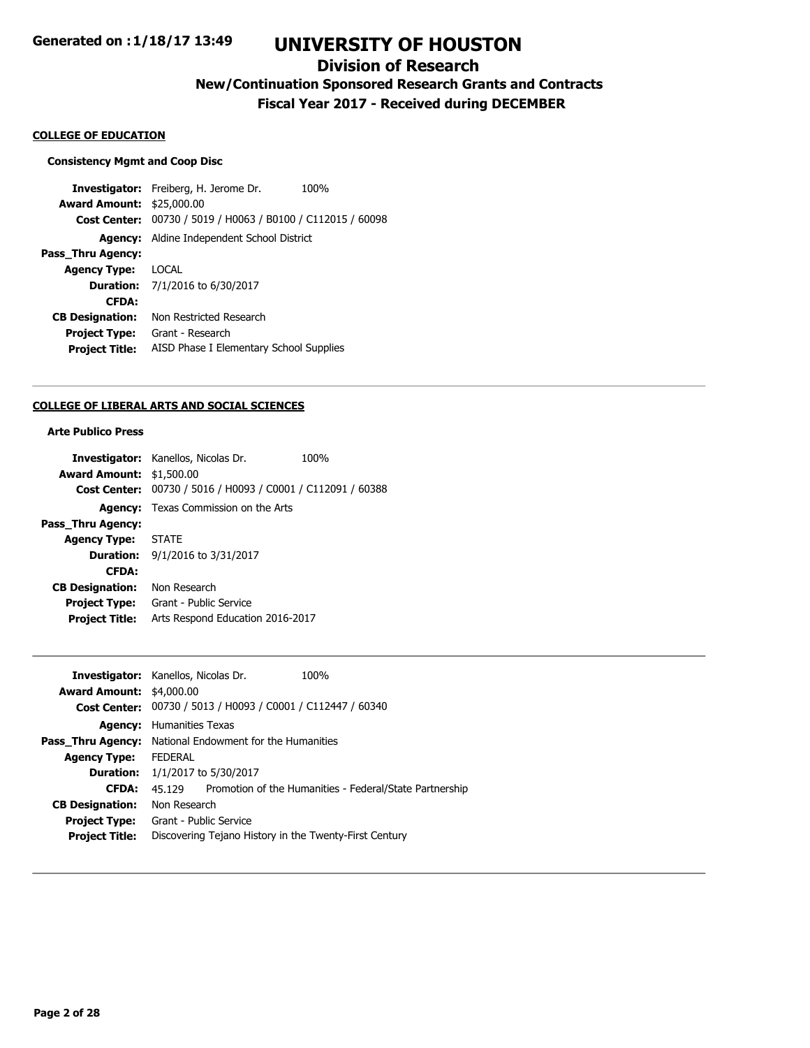## **Division of Research**

## **New/Continuation Sponsored Research Grants and Contracts**

**Fiscal Year 2017 - Received during DECEMBER**

#### **COLLEGE OF EDUCATION**

#### **Consistency Mgmt and Coop Disc**

**Investigator:** Freiberg, H. Jerome Dr. 100% **Award Amount:** \$25,000.00 **Cost Center:** 00730 / 5019 / H0063 / B0100 / C112015 / 60098 **Agency:** Aldine Independent School District **Pass\_Thru Agency: Agency Type:** LOCAL **Duration:** 7/1/2016 to 6/30/2017 **CFDA: CB Designation:** Non Restricted Research **Project Type:** Grant - Research **Project Title:** AISD Phase I Elementary School Supplies

#### **COLLEGE OF LIBERAL ARTS AND SOCIAL SCIENCES**

### **Arte Publico Press**

|                                 | <b>Investigator:</b> Kanellos, Nicolas Dr.                  | 100% |
|---------------------------------|-------------------------------------------------------------|------|
| <b>Award Amount: \$1,500.00</b> |                                                             |      |
|                                 | Cost Center: 00730 / 5016 / H0093 / C0001 / C112091 / 60388 |      |
|                                 | <b>Agency:</b> Texas Commission on the Arts                 |      |
| Pass_Thru Agency:               |                                                             |      |
| <b>Agency Type: STATE</b>       |                                                             |      |
|                                 | <b>Duration:</b> $9/1/2016$ to $3/31/2017$                  |      |
| <b>CFDA:</b>                    |                                                             |      |
| <b>CB Designation:</b>          | Non Research                                                |      |
| <b>Project Type:</b>            | Grant - Public Service                                      |      |
| <b>Project Title:</b>           | Arts Respond Education 2016-2017                            |      |
|                                 |                                                             |      |

| <b>Investigator:</b> Kanellos, Nicolas Dr.                     |                        | 100%                                                        |
|----------------------------------------------------------------|------------------------|-------------------------------------------------------------|
| <b>Award Amount: \$4,000.00</b>                                |                        |                                                             |
|                                                                |                        | Cost Center: 00730 / 5013 / H0093 / C0001 / C112447 / 60340 |
| <b>Agency:</b>                                                 | Humanities Texas       |                                                             |
| <b>Pass_Thru Agency:</b> National Endowment for the Humanities |                        |                                                             |
| <b>Agency Type:</b>                                            | <b>FEDERAL</b>         |                                                             |
| <b>Duration:</b>                                               | 1/1/2017 to 5/30/2017  |                                                             |
| <b>CFDA:</b>                                                   | 45 129                 | Promotion of the Humanities - Federal/State Partnership     |
| <b>CB Designation:</b>                                         | Non Research           |                                                             |
| <b>Project Type:</b>                                           | Grant - Public Service |                                                             |
| <b>Project Title:</b>                                          |                        | Discovering Tejano History in the Twenty-First Century      |
|                                                                |                        |                                                             |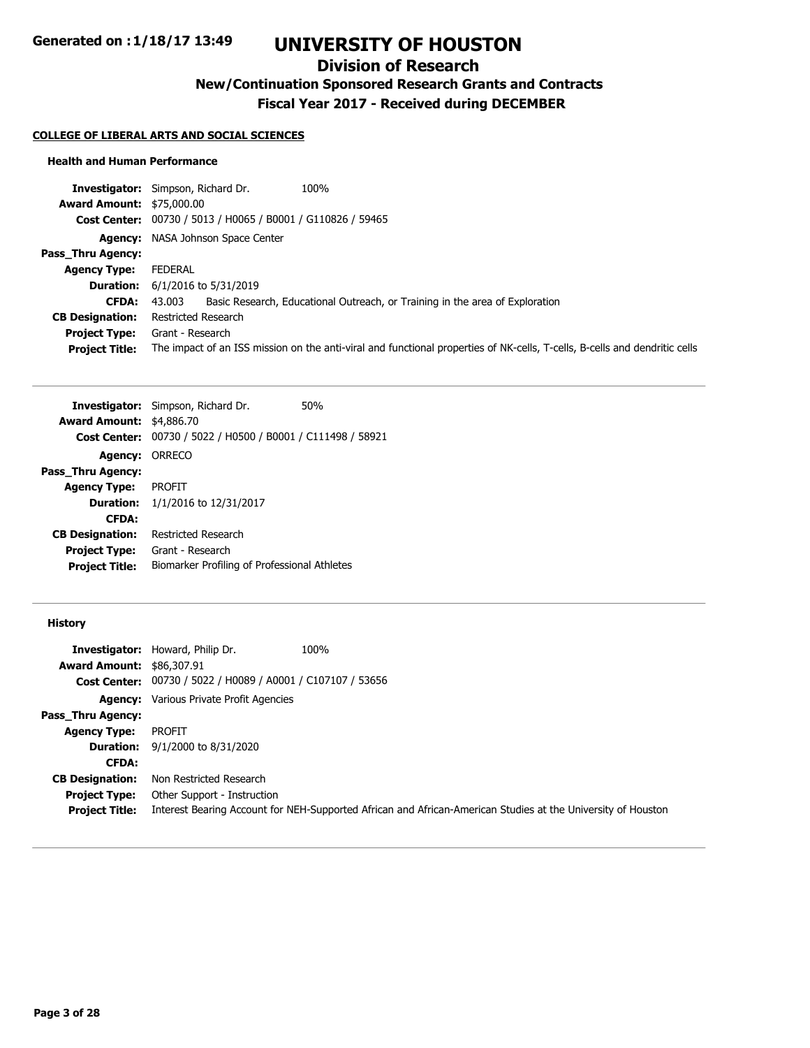## **Division of Research**

**New/Continuation Sponsored Research Grants and Contracts**

**Fiscal Year 2017 - Received during DECEMBER**

#### **COLLEGE OF LIBERAL ARTS AND SOCIAL SCIENCES**

#### **Health and Human Performance**

|                                  | 100%<br><b>Investigator:</b> Simpson, Richard Dr.                                                                          |
|----------------------------------|----------------------------------------------------------------------------------------------------------------------------|
| <b>Award Amount: \$75,000.00</b> |                                                                                                                            |
|                                  | Cost Center: 00730 / 5013 / H0065 / B0001 / G110826 / 59465                                                                |
|                                  | <b>Agency:</b> NASA Johnson Space Center                                                                                   |
| Pass Thru Agency:                |                                                                                                                            |
| <b>Agency Type:</b>              | FEDERAL                                                                                                                    |
|                                  | <b>Duration:</b> $6/1/2016$ to $5/31/2019$                                                                                 |
| CFDA:                            | Basic Research, Educational Outreach, or Training in the area of Exploration<br>43.003                                     |
| <b>CB Designation:</b>           | Restricted Research                                                                                                        |
| <b>Project Type:</b>             | Grant - Research                                                                                                           |
| <b>Project Title:</b>            | The impact of an ISS mission on the anti-viral and functional properties of NK-cells, T-cells, B-cells and dendritic cells |
|                                  |                                                                                                                            |

| <b>Investigator:</b> Simpson, Richard Dr.                   | 50%                                          |
|-------------------------------------------------------------|----------------------------------------------|
| <b>Award Amount: \$4,886.70</b>                             |                                              |
| Cost Center: 00730 / 5022 / H0500 / B0001 / C111498 / 58921 |                                              |
| <b>Agency: ORRECO</b>                                       |                                              |
|                                                             |                                              |
| <b>PROFIT</b>                                               |                                              |
| <b>Duration:</b> $1/1/2016$ to $12/31/2017$                 |                                              |
|                                                             |                                              |
| Restricted Research                                         |                                              |
| Grant - Research                                            |                                              |
|                                                             |                                              |
|                                                             | Biomarker Profiling of Professional Athletes |

### **History**

|                                  | <b>Investigator:</b> Howard, Philip Dr.                            | 100%                                                                                                         |
|----------------------------------|--------------------------------------------------------------------|--------------------------------------------------------------------------------------------------------------|
| <b>Award Amount: \$86,307.91</b> |                                                                    |                                                                                                              |
|                                  | <b>Cost Center:</b> 00730 / 5022 / H0089 / A0001 / C107107 / 53656 |                                                                                                              |
|                                  | <b>Agency:</b> Various Private Profit Agencies                     |                                                                                                              |
| Pass Thru Agency:                |                                                                    |                                                                                                              |
| <b>Agency Type:</b>              | PROFIT                                                             |                                                                                                              |
|                                  | <b>Duration:</b> $9/1/2000$ to $8/31/2020$                         |                                                                                                              |
| <b>CFDA:</b>                     |                                                                    |                                                                                                              |
| <b>CB Designation:</b>           | Non Restricted Research                                            |                                                                                                              |
| <b>Project Type:</b>             | Other Support - Instruction                                        |                                                                                                              |
| <b>Project Title:</b>            |                                                                    | Interest Bearing Account for NEH-Supported African and African-American Studies at the University of Houston |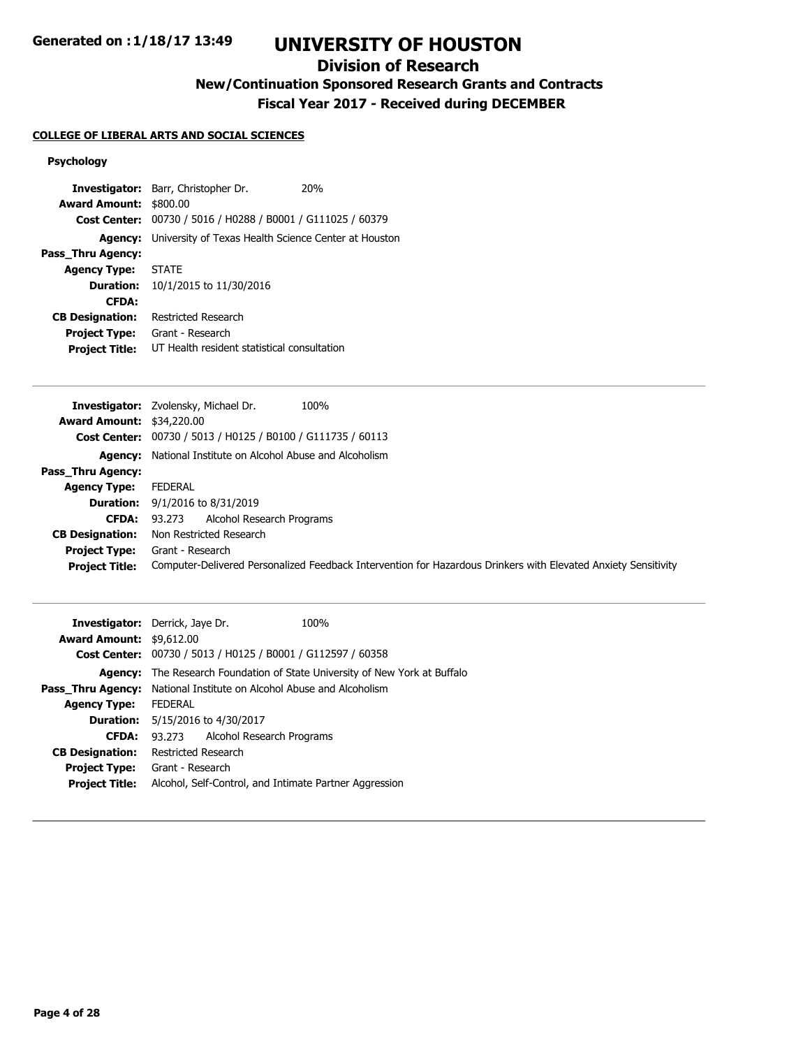## **Division of Research**

# **New/Continuation Sponsored Research Grants and Contracts**

**Fiscal Year 2017 - Received during DECEMBER**

### **COLLEGE OF LIBERAL ARTS AND SOCIAL SCIENCES**

### **Psychology**

|                        | Investigator: Barr, Christopher Dr.                                 | 20 <sub>%</sub> |  |
|------------------------|---------------------------------------------------------------------|-----------------|--|
| <b>Award Amount:</b>   | \$800.00                                                            |                 |  |
|                        | Cost Center: 00730 / 5016 / H0288 / B0001 / G111025 / 60379         |                 |  |
|                        | <b>Agency:</b> University of Texas Health Science Center at Houston |                 |  |
| Pass Thru Agency:      |                                                                     |                 |  |
| <b>Agency Type:</b>    | <b>STATE</b>                                                        |                 |  |
|                        | <b>Duration:</b> 10/1/2015 to 11/30/2016                            |                 |  |
| <b>CFDA:</b>           |                                                                     |                 |  |
| <b>CB Designation:</b> | Restricted Research                                                 |                 |  |
| <b>Project Type:</b>   | Grant - Research                                                    |                 |  |
| <b>Project Title:</b>  | UT Health resident statistical consultation                         |                 |  |

|                                  | <b>Investigator:</b> Zvolensky, Michael Dr.<br>100%                                                            |
|----------------------------------|----------------------------------------------------------------------------------------------------------------|
| <b>Award Amount: \$34,220.00</b> |                                                                                                                |
|                                  | Cost Center: 00730 / 5013 / H0125 / B0100 / G111735 / 60113                                                    |
|                                  | <b>Agency:</b> National Institute on Alcohol Abuse and Alcoholism                                              |
| Pass Thru Agency:                |                                                                                                                |
| <b>Agency Type:</b>              | FEDERAL                                                                                                        |
|                                  | <b>Duration:</b> $9/1/2016$ to $8/31/2019$                                                                     |
| CFDA:                            | Alcohol Research Programs<br>93.273                                                                            |
| <b>CB Designation:</b>           | Non Restricted Research                                                                                        |
| <b>Project Type:</b>             | Grant - Research                                                                                               |
| <b>Project Title:</b>            | Computer-Delivered Personalized Feedback Intervention for Hazardous Drinkers with Elevated Anxiety Sensitivity |

|                                 | <b>Investigator:</b> Derrick, Jaye Dr.                      | 100%                                                               |
|---------------------------------|-------------------------------------------------------------|--------------------------------------------------------------------|
| <b>Award Amount: \$9,612.00</b> |                                                             |                                                                    |
|                                 | Cost Center: 00730 / 5013 / H0125 / B0001 / G112597 / 60358 |                                                                    |
| Agency:                         |                                                             | The Research Foundation of State University of New York at Buffalo |
| Pass Thru Agency:               | National Institute on Alcohol Abuse and Alcoholism          |                                                                    |
| <b>Agency Type:</b>             | <b>FEDERAL</b>                                              |                                                                    |
|                                 | <b>Duration:</b> 5/15/2016 to 4/30/2017                     |                                                                    |
| <b>CFDA:</b>                    | Alcohol Research Programs<br>93.273                         |                                                                    |
| <b>CB Designation:</b>          | Restricted Research                                         |                                                                    |
| <b>Project Type:</b>            | Grant - Research                                            |                                                                    |
| <b>Project Title:</b>           | Alcohol, Self-Control, and Intimate Partner Aggression      |                                                                    |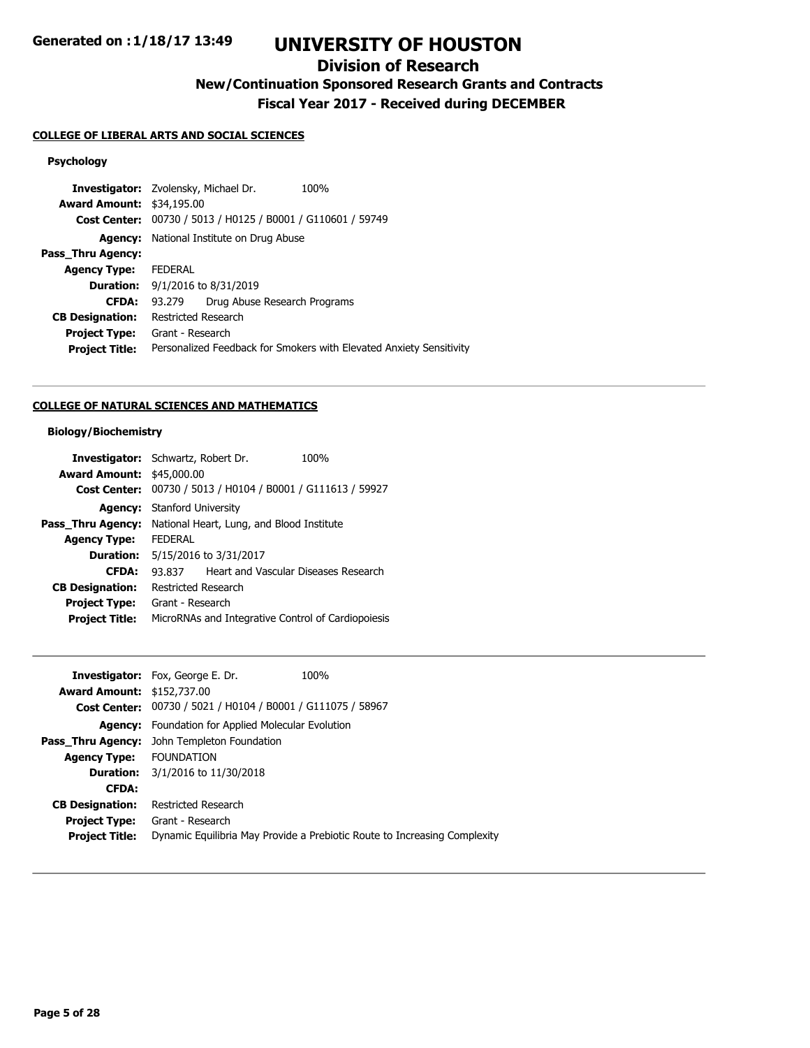## **Division of Research**

**New/Continuation Sponsored Research Grants and Contracts**

**Fiscal Year 2017 - Received during DECEMBER**

### **COLLEGE OF LIBERAL ARTS AND SOCIAL SCIENCES**

### **Psychology**

|                                  | <b>Investigator:</b> Zvolensky, Michael Dr.                 | 100%                                                                |
|----------------------------------|-------------------------------------------------------------|---------------------------------------------------------------------|
| <b>Award Amount: \$34,195.00</b> |                                                             |                                                                     |
|                                  | Cost Center: 00730 / 5013 / H0125 / B0001 / G110601 / 59749 |                                                                     |
|                                  | <b>Agency:</b> National Institute on Drug Abuse             |                                                                     |
| Pass_Thru Agency:                |                                                             |                                                                     |
| <b>Agency Type:</b>              | <b>FEDERAL</b>                                              |                                                                     |
|                                  | <b>Duration:</b> $9/1/2016$ to $8/31/2019$                  |                                                                     |
| <b>CFDA:</b>                     | Drug Abuse Research Programs<br>93.279                      |                                                                     |
| <b>CB Designation:</b>           | Restricted Research                                         |                                                                     |
| <b>Project Type:</b>             | Grant - Research                                            |                                                                     |
| <b>Project Title:</b>            |                                                             | Personalized Feedback for Smokers with Elevated Anxiety Sensitivity |
|                                  |                                                             |                                                                     |

## **COLLEGE OF NATURAL SCIENCES AND MATHEMATICS**

### **Biology/Biochemistry**

| <b>Investigator:</b> Schwartz, Robert Dr. |                                                    |  | 100%                                           |
|-------------------------------------------|----------------------------------------------------|--|------------------------------------------------|
| <b>Award Amount: \$45,000.00</b>          |                                                    |  |                                                |
| <b>Cost Center:</b>                       |                                                    |  | 00730 / 5013 / H0104 / B0001 / G111613 / 59927 |
| Agency:                                   | Stanford University                                |  |                                                |
| Pass Thru Agency:                         | National Heart, Lung, and Blood Institute          |  |                                                |
| <b>Agency Type:</b>                       | <b>FFDFRAI</b>                                     |  |                                                |
|                                           | <b>Duration:</b> 5/15/2016 to 3/31/2017            |  |                                                |
| <b>CFDA:</b>                              | 93.837                                             |  | Heart and Vascular Diseases Research           |
| <b>CB Designation:</b>                    | Restricted Research                                |  |                                                |
| <b>Project Type:</b>                      | Grant - Research                                   |  |                                                |
| <b>Project Title:</b>                     | MicroRNAs and Integrative Control of Cardiopoiesis |  |                                                |

| <b>Investigator:</b> Fox, George E. Dr.                     | 100%                                                                      |
|-------------------------------------------------------------|---------------------------------------------------------------------------|
| <b>Award Amount: \$152,737.00</b>                           |                                                                           |
| Cost Center: 00730 / 5021 / H0104 / B0001 / G111075 / 58967 |                                                                           |
| <b>Agency:</b> Foundation for Applied Molecular Evolution   |                                                                           |
| John Templeton Foundation                                   |                                                                           |
| <b>Agency Type: FOUNDATION</b>                              |                                                                           |
| <b>Duration:</b> 3/1/2016 to 11/30/2018                     |                                                                           |
|                                                             |                                                                           |
| Restricted Research                                         |                                                                           |
| Grant - Research                                            |                                                                           |
|                                                             | Dynamic Equilibria May Provide a Prebiotic Route to Increasing Complexity |
|                                                             |                                                                           |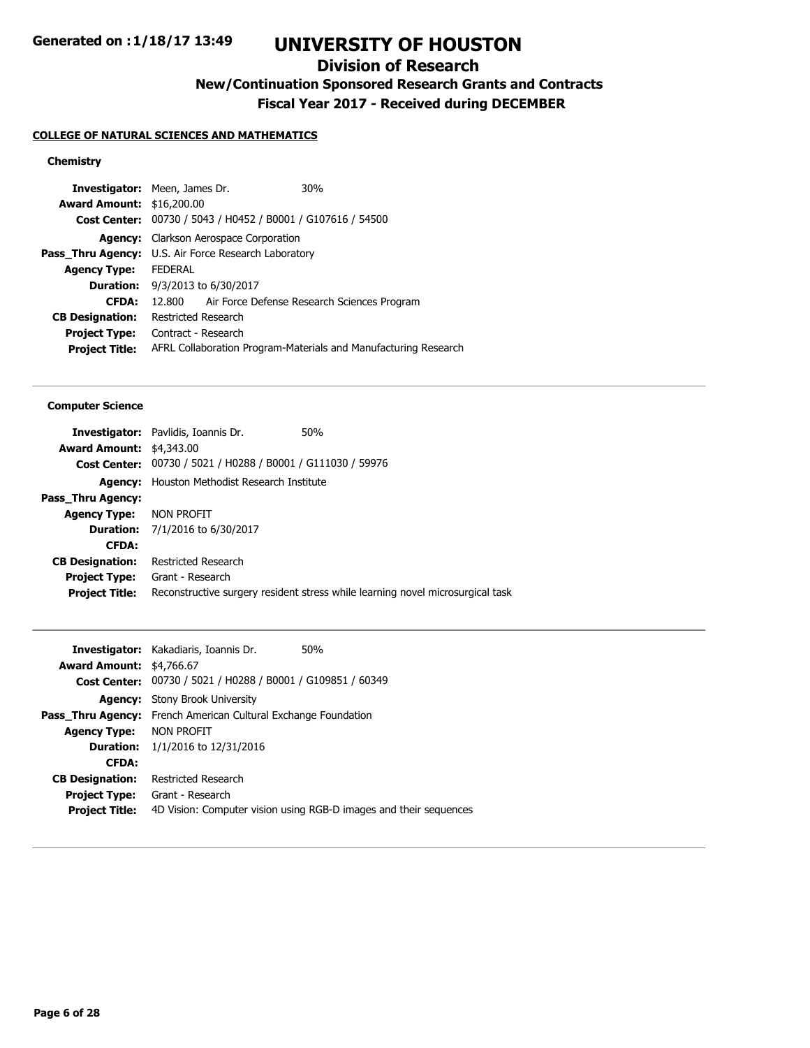## **Division of Research**

**New/Continuation Sponsored Research Grants and Contracts**

**Fiscal Year 2017 - Received during DECEMBER**

### **COLLEGE OF NATURAL SCIENCES AND MATHEMATICS**

### **Chemistry**

| <b>Investigator:</b> Meen, James Dr.                        |                                        |                                        | 30%                                                             |
|-------------------------------------------------------------|----------------------------------------|----------------------------------------|-----------------------------------------------------------------|
| <b>Award Amount: \$16,200.00</b>                            |                                        |                                        |                                                                 |
|                                                             |                                        |                                        | Cost Center: 00730 / 5043 / H0452 / B0001 / G107616 / 54500     |
|                                                             |                                        | Agency: Clarkson Aerospace Corporation |                                                                 |
| <b>Pass Thru Agency:</b> U.S. Air Force Research Laboratory |                                        |                                        |                                                                 |
| <b>Agency Type:</b>                                         | <b>FFDFRAI</b>                         |                                        |                                                                 |
|                                                             | <b>Duration:</b> 9/3/2013 to 6/30/2017 |                                        |                                                                 |
| <b>CFDA:</b>                                                | 12.800                                 |                                        | Air Force Defense Research Sciences Program                     |
| <b>CB Designation:</b>                                      | Restricted Research                    |                                        |                                                                 |
| <b>Project Type:</b>                                        | Contract - Research                    |                                        |                                                                 |
| <b>Project Title:</b>                                       |                                        |                                        | AFRL Collaboration Program-Materials and Manufacturing Research |
|                                                             |                                        |                                        |                                                                 |

#### **Computer Science**

|                                 | 50%<br><b>Investigator:</b> Pavlidis, Ioannis Dr.           |                                                                                |
|---------------------------------|-------------------------------------------------------------|--------------------------------------------------------------------------------|
| <b>Award Amount: \$4,343.00</b> |                                                             |                                                                                |
|                                 | Cost Center: 00730 / 5021 / H0288 / B0001 / G111030 / 59976 |                                                                                |
|                                 | <b>Agency:</b> Houston Methodist Research Institute         |                                                                                |
| Pass Thru Agency:               |                                                             |                                                                                |
| <b>Agency Type: NON PROFIT</b>  |                                                             |                                                                                |
|                                 | <b>Duration:</b> 7/1/2016 to 6/30/2017                      |                                                                                |
| <b>CFDA:</b>                    |                                                             |                                                                                |
| <b>CB Designation:</b>          | Restricted Research                                         |                                                                                |
|                                 | <b>Project Type:</b> Grant - Research                       |                                                                                |
| <b>Project Title:</b>           |                                                             | Reconstructive surgery resident stress while learning novel microsurgical task |
|                                 |                                                             |                                                                                |

| <b>Investigator:</b> Kakadiaris, Ioannis Dr.                          | 50%                                                               |
|-----------------------------------------------------------------------|-------------------------------------------------------------------|
| <b>Award Amount: \$4,766.67</b>                                       |                                                                   |
| Cost Center: 00730 / 5021 / H0288 / B0001 / G109851 / 60349           |                                                                   |
| <b>Agency:</b> Stony Brook University                                 |                                                                   |
| <b>Pass Thru Agency:</b> French American Cultural Exchange Foundation |                                                                   |
| <b>Agency Type: NON PROFIT</b>                                        |                                                                   |
| <b>Duration:</b> $1/1/2016$ to $12/31/2016$                           |                                                                   |
|                                                                       |                                                                   |
| Restricted Research                                                   |                                                                   |
| Grant - Research                                                      |                                                                   |
|                                                                       | 4D Vision: Computer vision using RGB-D images and their sequences |
|                                                                       |                                                                   |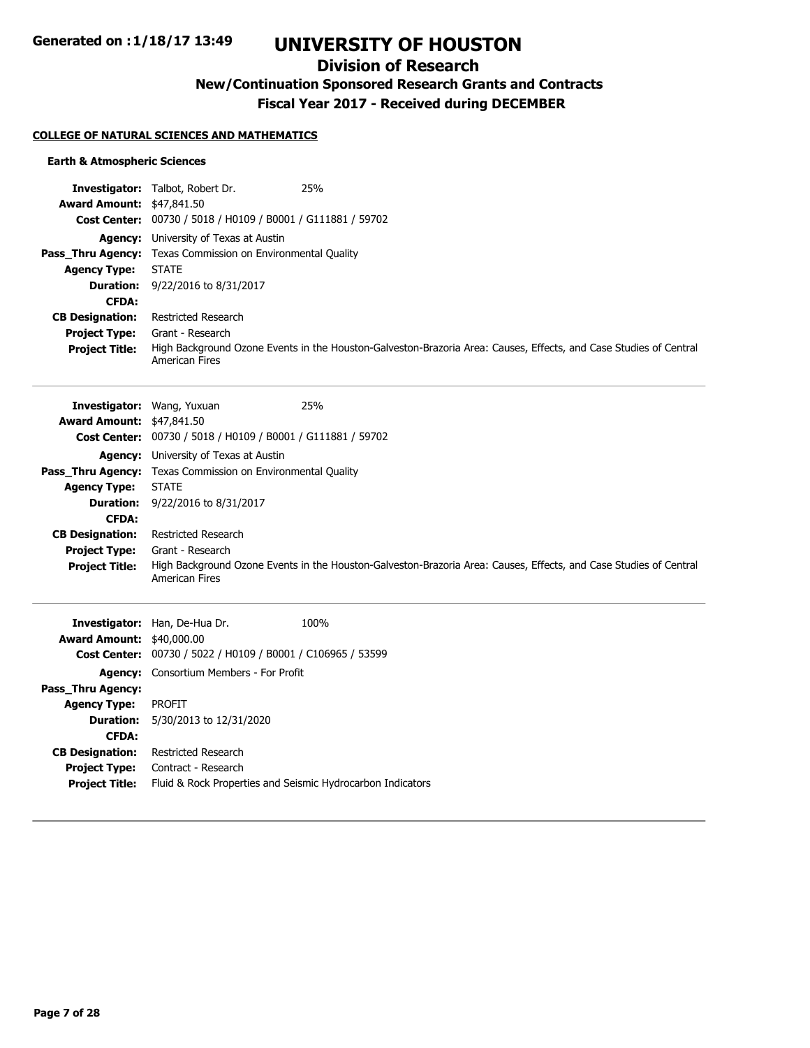## **Division of Research**

## **New/Continuation Sponsored Research Grants and Contracts**

**Fiscal Year 2017 - Received during DECEMBER**

### **COLLEGE OF NATURAL SCIENCES AND MATHEMATICS**

#### **Earth & Atmospheric Sciences**

|                                  | <b>Investigator:</b> Talbot, Robert Dr.                            | 25%                                                                                                               |
|----------------------------------|--------------------------------------------------------------------|-------------------------------------------------------------------------------------------------------------------|
| <b>Award Amount: \$47,841.50</b> |                                                                    |                                                                                                                   |
|                                  | Cost Center: 00730 / 5018 / H0109 / B0001 / G111881 / 59702        |                                                                                                                   |
|                                  | <b>Agency:</b> University of Texas at Austin                       |                                                                                                                   |
|                                  | <b>Pass Thru Agency:</b> Texas Commission on Environmental Quality |                                                                                                                   |
| <b>Agency Type:</b>              | <b>STATE</b>                                                       |                                                                                                                   |
| <b>Duration:</b>                 | 9/22/2016 to 8/31/2017                                             |                                                                                                                   |
| <b>CFDA:</b>                     |                                                                    |                                                                                                                   |
| <b>CB Designation:</b>           | Restricted Research                                                |                                                                                                                   |
| <b>Project Type:</b>             | Grant - Research                                                   |                                                                                                                   |
| <b>Project Title:</b>            | <b>American Fires</b>                                              | High Background Ozone Events in the Houston-Galveston-Brazoria Area: Causes, Effects, and Case Studies of Central |
|                                  |                                                                    |                                                                                                                   |

| <b>Investigator:</b> Wang, Yuxuan |                                                                    | 25%                                                                                                               |
|-----------------------------------|--------------------------------------------------------------------|-------------------------------------------------------------------------------------------------------------------|
| <b>Award Amount: \$47,841.50</b>  |                                                                    |                                                                                                                   |
|                                   | Cost Center: 00730 / 5018 / H0109 / B0001 / G111881 / 59702        |                                                                                                                   |
|                                   | <b>Agency:</b> University of Texas at Austin                       |                                                                                                                   |
|                                   | <b>Pass Thru Agency:</b> Texas Commission on Environmental Quality |                                                                                                                   |
| <b>Agency Type:</b>               | <b>STATE</b>                                                       |                                                                                                                   |
| <b>Duration:</b>                  | 9/22/2016 to 8/31/2017                                             |                                                                                                                   |
| <b>CFDA:</b>                      |                                                                    |                                                                                                                   |
| <b>CB Designation:</b>            | Restricted Research                                                |                                                                                                                   |
| <b>Project Type:</b>              | Grant - Research                                                   |                                                                                                                   |
| <b>Project Title:</b>             | <b>American Fires</b>                                              | High Background Ozone Events in the Houston-Galveston-Brazoria Area: Causes, Effects, and Case Studies of Central |

|                                  | <b>Investigator:</b> Han, De-Hua Dr.                        | 100% |
|----------------------------------|-------------------------------------------------------------|------|
| <b>Award Amount: \$40,000.00</b> |                                                             |      |
|                                  | Cost Center: 00730 / 5022 / H0109 / B0001 / C106965 / 53599 |      |
|                                  | <b>Agency:</b> Consortium Members - For Profit              |      |
| Pass Thru Agency:                |                                                             |      |
| <b>Agency Type:</b>              | PROFIT                                                      |      |
|                                  | <b>Duration:</b> 5/30/2013 to 12/31/2020                    |      |
| <b>CFDA:</b>                     |                                                             |      |
| <b>CB Designation:</b>           | Restricted Research                                         |      |
| <b>Project Type:</b>             | Contract - Research                                         |      |
| <b>Project Title:</b>            | Fluid & Rock Properties and Seismic Hydrocarbon Indicators  |      |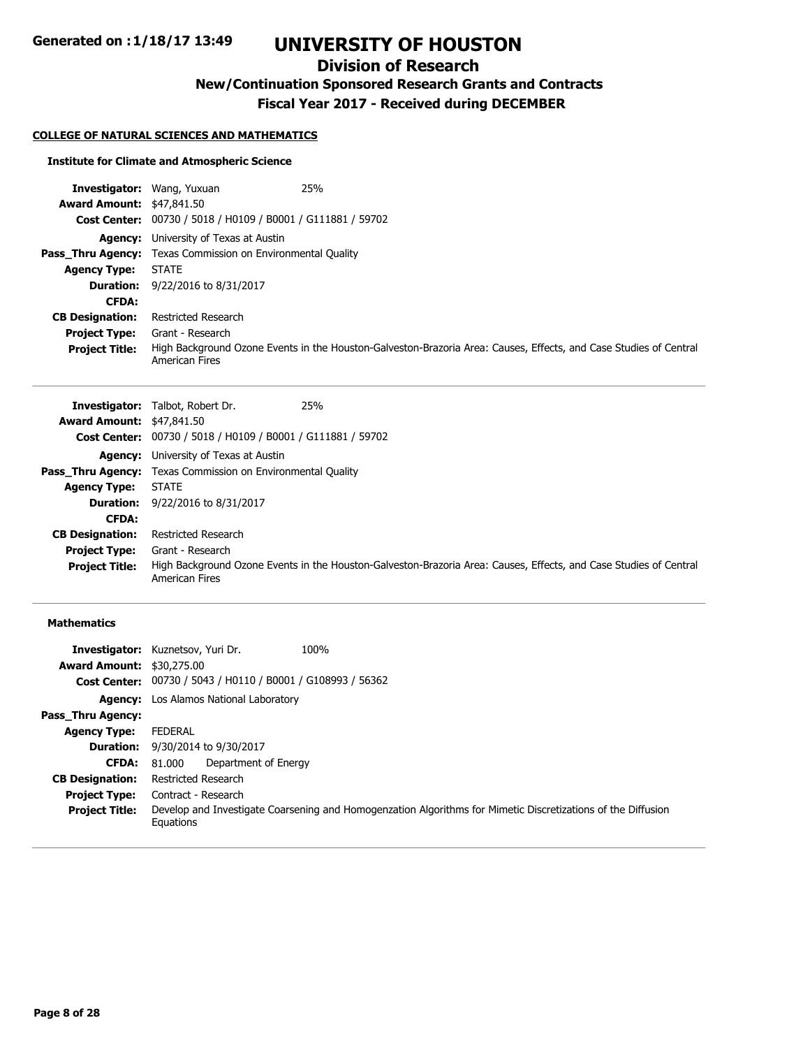## **Division of Research**

**New/Continuation Sponsored Research Grants and Contracts**

**Fiscal Year 2017 - Received during DECEMBER**

### **COLLEGE OF NATURAL SCIENCES AND MATHEMATICS**

#### **Institute for Climate and Atmospheric Science**

| <b>Investigator:</b> Wang, Yuxuan |                                                                    | 25%                                                                                                               |
|-----------------------------------|--------------------------------------------------------------------|-------------------------------------------------------------------------------------------------------------------|
| <b>Award Amount: \$47,841.50</b>  |                                                                    |                                                                                                                   |
|                                   | Cost Center: 00730 / 5018 / H0109 / B0001 / G111881 / 59702        |                                                                                                                   |
|                                   | <b>Agency:</b> University of Texas at Austin                       |                                                                                                                   |
|                                   | <b>Pass Thru Agency:</b> Texas Commission on Environmental Quality |                                                                                                                   |
| <b>Agency Type:</b>               | <b>STATE</b>                                                       |                                                                                                                   |
|                                   | <b>Duration:</b> 9/22/2016 to 8/31/2017                            |                                                                                                                   |
| <b>CFDA:</b>                      |                                                                    |                                                                                                                   |
| <b>CB Designation:</b>            | Restricted Research                                                |                                                                                                                   |
| <b>Project Type:</b>              | Grant - Research                                                   |                                                                                                                   |
| <b>Project Title:</b>             | <b>American Fires</b>                                              | High Background Ozone Events in the Houston-Galveston-Brazoria Area: Causes, Effects, and Case Studies of Central |

|                                  | <b>Investigator:</b> Talbot, Robert Dr.                            | 25%                                                                                                               |
|----------------------------------|--------------------------------------------------------------------|-------------------------------------------------------------------------------------------------------------------|
| <b>Award Amount: \$47,841.50</b> |                                                                    |                                                                                                                   |
|                                  | <b>Cost Center:</b> 00730 / 5018 / H0109 / B0001 / G111881 / 59702 |                                                                                                                   |
| Agency:                          | University of Texas at Austin                                      |                                                                                                                   |
|                                  | <b>Pass Thru Agency:</b> Texas Commission on Environmental Quality |                                                                                                                   |
| <b>Agency Type:</b>              | <b>STATE</b>                                                       |                                                                                                                   |
|                                  | <b>Duration:</b> 9/22/2016 to 8/31/2017                            |                                                                                                                   |
| <b>CFDA:</b>                     |                                                                    |                                                                                                                   |
| <b>CB Designation:</b>           | Restricted Research                                                |                                                                                                                   |
| <b>Project Type:</b>             | Grant - Research                                                   |                                                                                                                   |
| <b>Project Title:</b>            | <b>American Fires</b>                                              | High Background Ozone Events in the Houston-Galveston-Brazoria Area: Causes, Effects, and Case Studies of Central |

### **Mathematics**

|                                  | 100%<br><b>Investigator:</b> Kuznetsov, Yuri Dr.                                                                          |
|----------------------------------|---------------------------------------------------------------------------------------------------------------------------|
| <b>Award Amount: \$30,275.00</b> |                                                                                                                           |
|                                  | Cost Center: 00730 / 5043 / H0110 / B0001 / G108993 / 56362                                                               |
|                                  | <b>Agency:</b> Los Alamos National Laboratory                                                                             |
| Pass Thru Agency:                |                                                                                                                           |
| <b>Agency Type:</b>              | FEDERAL                                                                                                                   |
|                                  | <b>Duration:</b> 9/30/2014 to 9/30/2017                                                                                   |
| <b>CFDA:</b>                     | Department of Energy<br>81.000                                                                                            |
| <b>CB Designation:</b>           | Restricted Research                                                                                                       |
| <b>Project Type:</b>             | Contract - Research                                                                                                       |
| <b>Project Title:</b>            | Develop and Investigate Coarsening and Homogenzation Algorithms for Mimetic Discretizations of the Diffusion<br>Equations |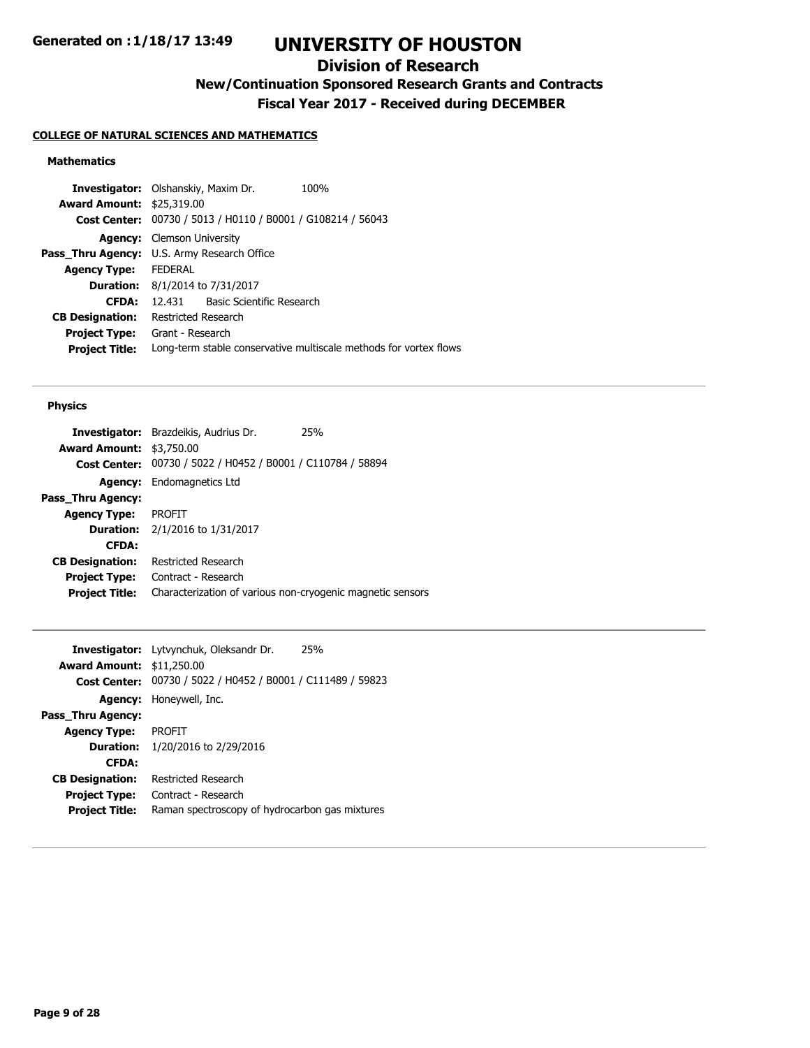## **Division of Research**

**New/Continuation Sponsored Research Grants and Contracts**

**Fiscal Year 2017 - Received during DECEMBER**

### **COLLEGE OF NATURAL SCIENCES AND MATHEMATICS**

### **Mathematics**

|                                  | <b>Investigator:</b> Olshanskiy, Maxim Dr.<br>100%                |
|----------------------------------|-------------------------------------------------------------------|
| <b>Award Amount: \$25,319.00</b> |                                                                   |
|                                  | Cost Center: 00730 / 5013 / H0110 / B0001 / G108214 / 56043       |
|                                  | <b>Agency:</b> Clemson University                                 |
|                                  | Pass_Thru Agency: U.S. Army Research Office                       |
| <b>Agency Type:</b>              | <b>FEDERAL</b>                                                    |
|                                  | <b>Duration:</b> 8/1/2014 to 7/31/2017                            |
| <b>CFDA:</b>                     | Basic Scientific Research<br>12 431                               |
| <b>CB Designation:</b>           | Restricted Research                                               |
| <b>Project Type:</b>             | Grant - Research                                                  |
| <b>Project Title:</b>            | Long-term stable conservative multiscale methods for vortex flows |
|                                  |                                                                   |

#### **Physics**

| <b>Investigator:</b> Brazdeikis, Audrius Dr.               | 25% |
|------------------------------------------------------------|-----|
| <b>Award Amount:</b><br>\$3,750.00                         |     |
| 00730 / 5022 / H0452 / B0001 / C110784 / 58894             |     |
| Endomagnetics Ltd                                          |     |
|                                                            |     |
| PROFIT                                                     |     |
| <b>Duration:</b> $2/1/2016$ to $1/31/2017$                 |     |
|                                                            |     |
| Restricted Research                                        |     |
| Contract - Research                                        |     |
| Characterization of various non-cryogenic magnetic sensors |     |
|                                                            |     |

|                                  | <b>Investigator:</b> Lytvynchuk, Oleksandr Dr.<br>25%       |
|----------------------------------|-------------------------------------------------------------|
| <b>Award Amount: \$11,250.00</b> |                                                             |
|                                  | Cost Center: 00730 / 5022 / H0452 / B0001 / C111489 / 59823 |
|                                  | <b>Agency:</b> Honeywell, Inc.                              |
| Pass Thru Agency:                |                                                             |
| <b>Agency Type:</b>              | <b>PROFIT</b>                                               |
| <b>Duration:</b>                 | 1/20/2016 to 2/29/2016                                      |
| <b>CFDA:</b>                     |                                                             |
| <b>CB Designation:</b>           | Restricted Research                                         |
| <b>Project Type:</b>             | Contract - Research                                         |
| <b>Project Title:</b>            | Raman spectroscopy of hydrocarbon gas mixtures              |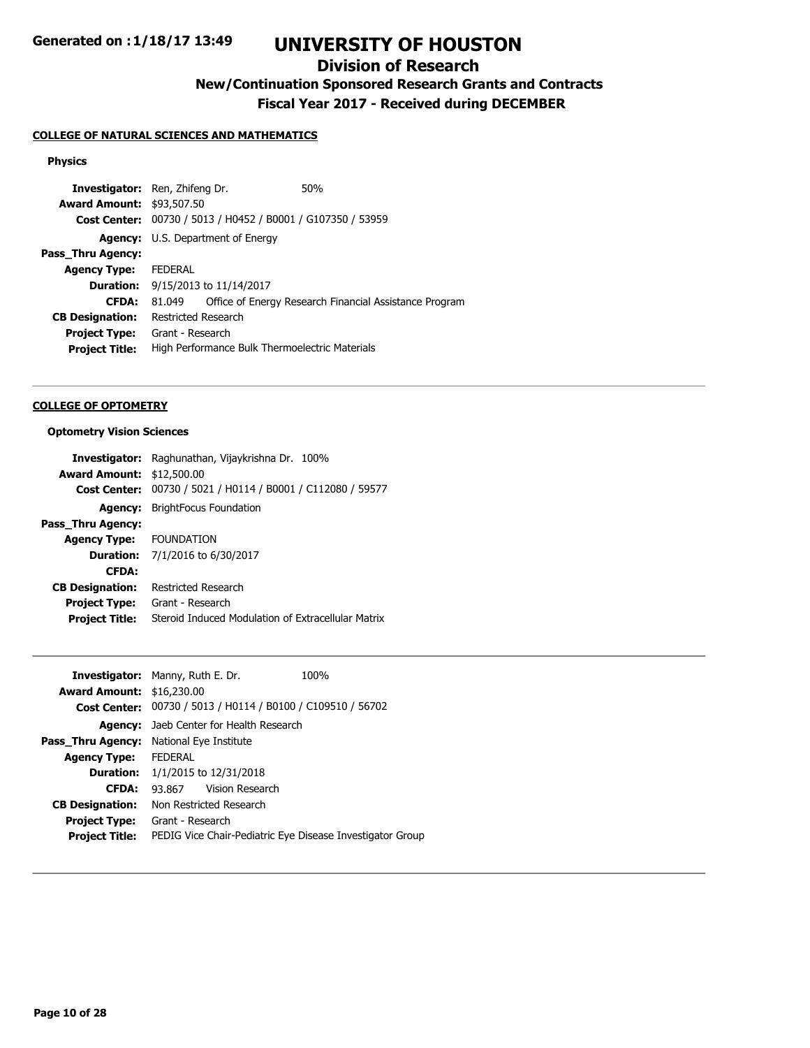## **Division of Research**

# **New/Continuation Sponsored Research Grants and Contracts**

**Fiscal Year 2017 - Received during DECEMBER**

### **COLLEGE OF NATURAL SCIENCES AND MATHEMATICS**

### **Physics**

| <b>Investigator:</b> Ren, Zhifeng Dr. |                                                             |  | 50%                                                    |
|---------------------------------------|-------------------------------------------------------------|--|--------------------------------------------------------|
| <b>Award Amount: \$93,507.50</b>      |                                                             |  |                                                        |
|                                       | Cost Center: 00730 / 5013 / H0452 / B0001 / G107350 / 53959 |  |                                                        |
|                                       | <b>Agency:</b> U.S. Department of Energy                    |  |                                                        |
| Pass_Thru Agency:                     |                                                             |  |                                                        |
| <b>Agency Type:</b>                   | <b>FEDERAL</b>                                              |  |                                                        |
|                                       | <b>Duration:</b> 9/15/2013 to 11/14/2017                    |  |                                                        |
| <b>CFDA:</b>                          | 81.049                                                      |  | Office of Energy Research Financial Assistance Program |
| <b>CB Designation:</b>                | Restricted Research                                         |  |                                                        |
| <b>Project Type:</b>                  | Grant - Research                                            |  |                                                        |
| <b>Project Title:</b>                 | High Performance Bulk Thermoelectric Materials              |  |                                                        |
|                                       |                                                             |  |                                                        |

#### **COLLEGE OF OPTOMETRY**

#### **Optometry Vision Sciences**

|                        | <b>Investigator:</b> Raghunathan, Vijaykrishna Dr. 100% |  |
|------------------------|---------------------------------------------------------|--|
| <b>Award Amount:</b>   | \$12,500.00                                             |  |
| <b>Cost Center:</b>    | 00730 / 5021 / H0114 / B0001 / C112080 / 59577          |  |
| Agency:                | <b>BrightFocus Foundation</b>                           |  |
| Pass_Thru Agency:      |                                                         |  |
| <b>Agency Type:</b>    | <b>FOUNDATION</b>                                       |  |
|                        | <b>Duration:</b> 7/1/2016 to 6/30/2017                  |  |
| <b>CFDA:</b>           |                                                         |  |
| <b>CB Designation:</b> | Restricted Research                                     |  |
| <b>Project Type:</b>   | Grant - Research                                        |  |
| <b>Project Title:</b>  | Steroid Induced Modulation of Extracellular Matrix      |  |

| <b>Investigator:</b> Manny, Ruth E. Dr.                            | 100% |
|--------------------------------------------------------------------|------|
| <b>Award Amount: \$16,230.00</b>                                   |      |
| <b>Cost Center:</b> 00730 / 5013 / H0114 / B0100 / C109510 / 56702 |      |
| <b>Agency:</b> Jaeb Center for Health Research                     |      |
| Pass Thru Agency:<br>National Eye Institute                        |      |
| <b>FEDERAL</b>                                                     |      |
| <b>Duration:</b> $1/1/2015$ to $12/31/2018$                        |      |
| 93.867 Vision Research                                             |      |
| Non Restricted Research                                            |      |
| Grant - Research                                                   |      |
| PEDIG Vice Chair-Pediatric Eye Disease Investigator Group          |      |
|                                                                    |      |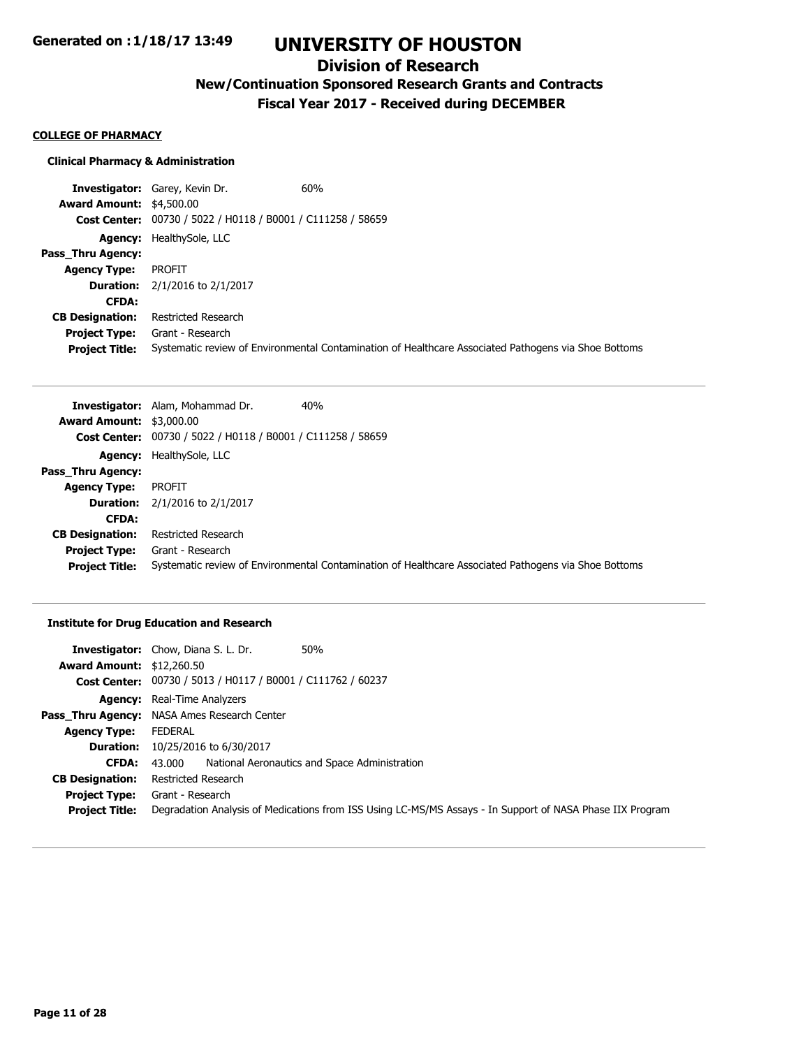## **Division of Research**

# **New/Continuation Sponsored Research Grants and Contracts**

**Fiscal Year 2017 - Received during DECEMBER**

#### **COLLEGE OF PHARMACY**

#### **Clinical Pharmacy & Administration**

**Investigator:** Garey, Kevin Dr. 60% **Award Amount:** \$4,500.00 **Cost Center:** 00730 / 5022 / H0118 / B0001 / C111258 / 58659 **Agency:** HealthySole, LLC **Pass\_Thru Agency: Agency Type:** PROFIT **Duration:** 2/1/2016 to 2/1/2017 **CFDA: CB Designation:** Restricted Research **Project Type:** Grant - Research **Project Title:** Systematic review of Environmental Contamination of Healthcare Associated Pathogens via Shoe Bottoms

|                                 | 40%<br>Investigator: Alam, Mohammad Dr.                                                              |
|---------------------------------|------------------------------------------------------------------------------------------------------|
| <b>Award Amount: \$3,000.00</b> |                                                                                                      |
|                                 | <b>Cost Center:</b> 00730 / 5022 / H0118 / B0001 / C111258 / 58659                                   |
|                                 | <b>Agency:</b> HealthySole, LLC                                                                      |
| Pass Thru Agency:               |                                                                                                      |
| <b>Agency Type:</b>             | <b>PROFIT</b>                                                                                        |
| <b>Duration:</b>                | 2/1/2016 to 2/1/2017                                                                                 |
| <b>CFDA:</b>                    |                                                                                                      |
| <b>CB Designation:</b>          | <b>Restricted Research</b>                                                                           |
| <b>Project Type:</b>            | Grant - Research                                                                                     |
| <b>Project Title:</b>           | Systematic review of Environmental Contamination of Healthcare Associated Pathogens via Shoe Bottoms |

#### **Institute for Drug Education and Research**

|                                  | <b>Investigator:</b> Chow, Diana S. L. Dr.<br>50%                                                         |  |
|----------------------------------|-----------------------------------------------------------------------------------------------------------|--|
| <b>Award Amount: \$12,260.50</b> |                                                                                                           |  |
|                                  | Cost Center: 00730 / 5013 / H0117 / B0001 / C111762 / 60237                                               |  |
|                                  | <b>Agency:</b> Real-Time Analyzers                                                                        |  |
|                                  | Pass_Thru Agency: NASA Ames Research Center                                                               |  |
| <b>Agency Type:</b>              | FEDERAL                                                                                                   |  |
|                                  | <b>Duration:</b> 10/25/2016 to 6/30/2017                                                                  |  |
| CFDA:                            | National Aeronautics and Space Administration<br>43.000                                                   |  |
| <b>CB Designation:</b>           | Restricted Research                                                                                       |  |
| <b>Project Type:</b>             | Grant - Research                                                                                          |  |
| <b>Project Title:</b>            | Degradation Analysis of Medications from ISS Using LC-MS/MS Assays - In Support of NASA Phase IIX Program |  |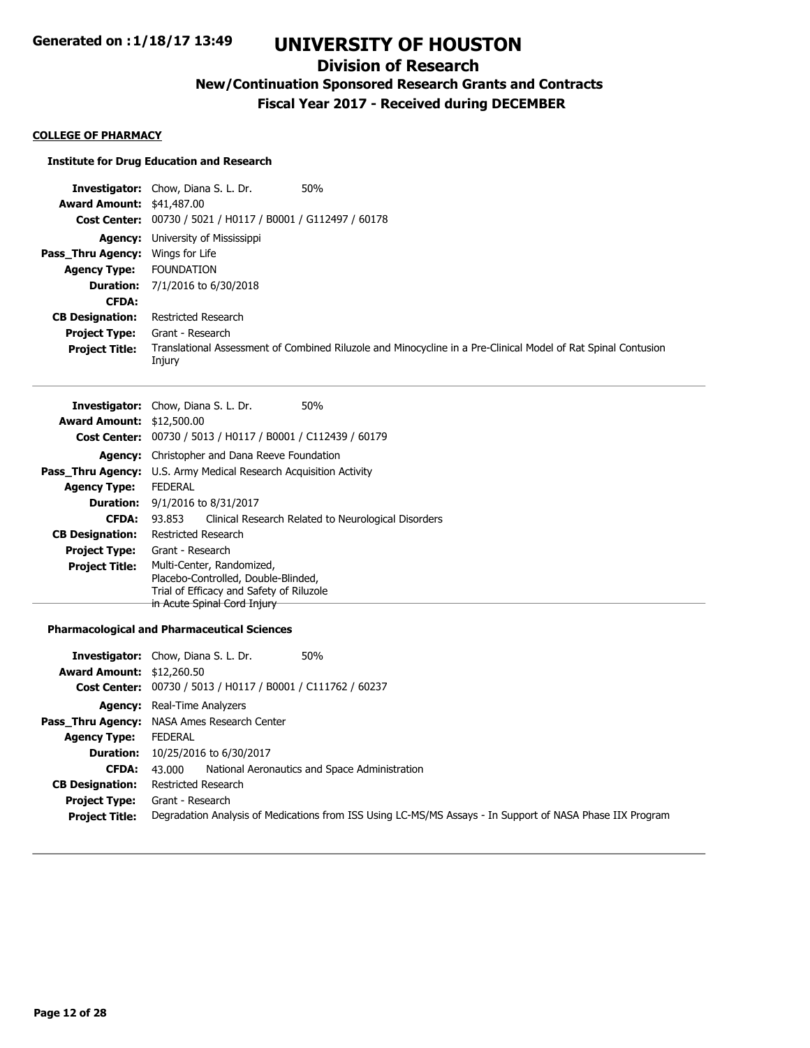## **Division of Research**

## **New/Continuation Sponsored Research Grants and Contracts**

**Fiscal Year 2017 - Received during DECEMBER**

#### **COLLEGE OF PHARMACY**

#### **Institute for Drug Education and Research**

|                                         | 50%<br><b>Investigator:</b> Chow, Diana S. L. Dr.                                                                       |
|-----------------------------------------|-------------------------------------------------------------------------------------------------------------------------|
| <b>Award Amount: \$41,487.00</b>        |                                                                                                                         |
|                                         | Cost Center: 00730 / 5021 / H0117 / B0001 / G112497 / 60178                                                             |
|                                         | <b>Agency:</b> University of Mississippi                                                                                |
| <b>Pass Thru Agency:</b> Wings for Life |                                                                                                                         |
| <b>Agency Type:</b>                     | <b>FOUNDATION</b>                                                                                                       |
|                                         | <b>Duration:</b> 7/1/2016 to 6/30/2018                                                                                  |
| <b>CFDA:</b>                            |                                                                                                                         |
| <b>CB Designation:</b>                  | Restricted Research                                                                                                     |
| <b>Project Type:</b>                    | Grant - Research                                                                                                        |
| <b>Project Title:</b>                   | Translational Assessment of Combined Riluzole and Minocycline in a Pre-Clinical Model of Rat Spinal Contusion<br>Injury |

|                        | <b>Investigator:</b> Chow, Diana S. L. Dr.<br>50%             |  |
|------------------------|---------------------------------------------------------------|--|
| <b>Award Amount:</b>   | \$12,500.00                                                   |  |
| <b>Cost Center:</b>    | 00730 / 5013 / H0117 / B0001 / C112439 / 60179                |  |
| Agency:                | Christopher and Dana Reeve Foundation                         |  |
| Pass Thru Agency:      | U.S. Army Medical Research Acquisition Activity               |  |
| <b>Agency Type:</b>    | <b>FFDFRAI</b>                                                |  |
|                        | <b>Duration:</b> $9/1/2016$ to $8/31/2017$                    |  |
| <b>CFDA:</b>           | Clinical Research Related to Neurological Disorders<br>93.853 |  |
| <b>CB Designation:</b> | Restricted Research                                           |  |
| <b>Project Type:</b>   | Grant - Research                                              |  |
| <b>Project Title:</b>  | Multi-Center, Randomized,                                     |  |
|                        | Placebo-Controlled, Double-Blinded,                           |  |
|                        | Trial of Efficacy and Safety of Riluzole                      |  |
|                        | in Acute Spinal Cord Injury                                   |  |
|                        |                                                               |  |

#### **Pharmacological and Pharmaceutical Sciences**

| <b>Award Amount: \$12,260.50</b> | 50%<br><b>Investigator:</b> Chow, Diana S. L. Dr.                                                         |  |  |
|----------------------------------|-----------------------------------------------------------------------------------------------------------|--|--|
|                                  | Cost Center: 00730 / 5013 / H0117 / B0001 / C111762 / 60237                                               |  |  |
|                                  | <b>Agency:</b> Real-Time Analyzers                                                                        |  |  |
|                                  | Pass_Thru Agency: NASA Ames Research Center                                                               |  |  |
| <b>Agency Type:</b>              | FEDERAL                                                                                                   |  |  |
|                                  | <b>Duration:</b> 10/25/2016 to 6/30/2017                                                                  |  |  |
| CFDA:                            | National Aeronautics and Space Administration<br>43.000                                                   |  |  |
| <b>CB Designation:</b>           | Restricted Research                                                                                       |  |  |
| <b>Project Type:</b>             | Grant - Research                                                                                          |  |  |
| <b>Project Title:</b>            | Degradation Analysis of Medications from ISS Using LC-MS/MS Assays - In Support of NASA Phase IIX Program |  |  |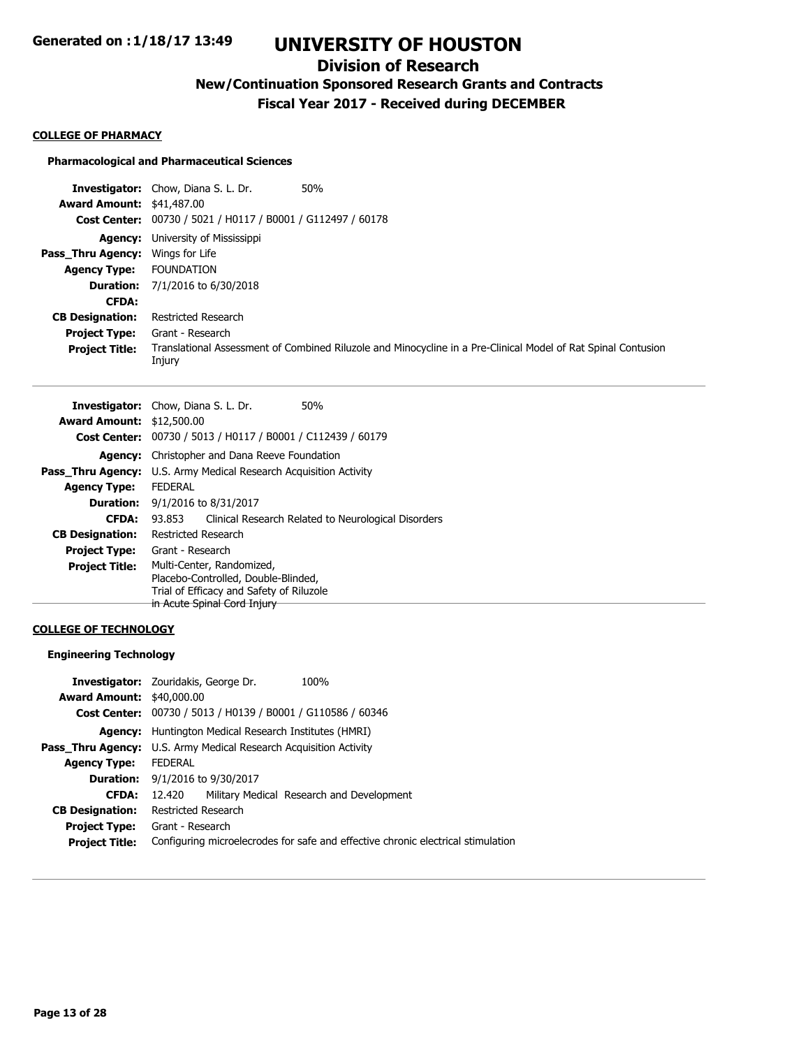## **Division of Research**

**New/Continuation Sponsored Research Grants and Contracts**

**Fiscal Year 2017 - Received during DECEMBER**

#### **COLLEGE OF PHARMACY**

#### **Pharmacological and Pharmaceutical Sciences**

|                                         | 50%<br><b>Investigator:</b> Chow, Diana S. L. Dr.                                                                       |
|-----------------------------------------|-------------------------------------------------------------------------------------------------------------------------|
| <b>Award Amount: \$41,487.00</b>        |                                                                                                                         |
|                                         | Cost Center: 00730 / 5021 / H0117 / B0001 / G112497 / 60178                                                             |
|                                         | <b>Agency:</b> University of Mississippi                                                                                |
| <b>Pass Thru Agency:</b> Wings for Life |                                                                                                                         |
| <b>Agency Type:</b>                     | <b>FOUNDATION</b>                                                                                                       |
|                                         | <b>Duration:</b> 7/1/2016 to 6/30/2018                                                                                  |
| <b>CFDA:</b>                            |                                                                                                                         |
| <b>CB Designation:</b>                  | Restricted Research                                                                                                     |
| <b>Project Type:</b>                    | Grant - Research                                                                                                        |
| <b>Project Title:</b>                   | Translational Assessment of Combined Riluzole and Minocycline in a Pre-Clinical Model of Rat Spinal Contusion<br>Injury |

|                                  | <b>Investigator:</b> Chow, Diana S. L. Dr.<br>50%                        |  |
|----------------------------------|--------------------------------------------------------------------------|--|
| <b>Award Amount: \$12,500.00</b> |                                                                          |  |
|                                  | <b>Cost Center:</b> 00730 / 5013 / H0117 / B0001 / C112439 / 60179       |  |
|                                  | <b>Agency:</b> Christopher and Dana Reeve Foundation                     |  |
|                                  | <b>Pass Thru Agency:</b> U.S. Army Medical Research Acquisition Activity |  |
| <b>Agency Type:</b>              | <b>FEDERAL</b>                                                           |  |
|                                  | <b>Duration:</b> $9/1/2016$ to $8/31/2017$                               |  |
| <b>CFDA:</b>                     | Clinical Research Related to Neurological Disorders<br>93.853            |  |
| <b>CB Designation:</b>           | Restricted Research                                                      |  |
| <b>Project Type:</b>             | Grant - Research                                                         |  |
| <b>Project Title:</b>            | Multi-Center, Randomized,<br>Placebo-Controlled, Double-Blinded,         |  |
|                                  | Trial of Efficacy and Safety of Riluzole                                 |  |
|                                  | in Acute Spinal Cord Injury                                              |  |

### **COLLEGE OF TECHNOLOGY**

### **Engineering Technology**

|                                  | <b>Investigator:</b> Zouridakis, George Dr.                                      | 100%                                      |  |
|----------------------------------|----------------------------------------------------------------------------------|-------------------------------------------|--|
| <b>Award Amount: \$40,000.00</b> |                                                                                  |                                           |  |
|                                  | Cost Center: 00730 / 5013 / H0139 / B0001 / G110586 / 60346                      |                                           |  |
| Agency:                          | Huntington Medical Research Institutes (HMRI)                                    |                                           |  |
|                                  | Pass_Thru Agency: U.S. Army Medical Research Acquisition Activity                |                                           |  |
| <b>Agency Type:</b>              | <b>FFDFRAI</b>                                                                   |                                           |  |
| <b>Duration:</b>                 | 9/1/2016 to 9/30/2017                                                            |                                           |  |
| <b>CFDA:</b>                     | 12.420                                                                           | Military Medical Research and Development |  |
| <b>CB Designation:</b>           | Restricted Research                                                              |                                           |  |
| <b>Project Type:</b>             | Grant - Research                                                                 |                                           |  |
| <b>Project Title:</b>            | Configuring microelecrodes for safe and effective chronic electrical stimulation |                                           |  |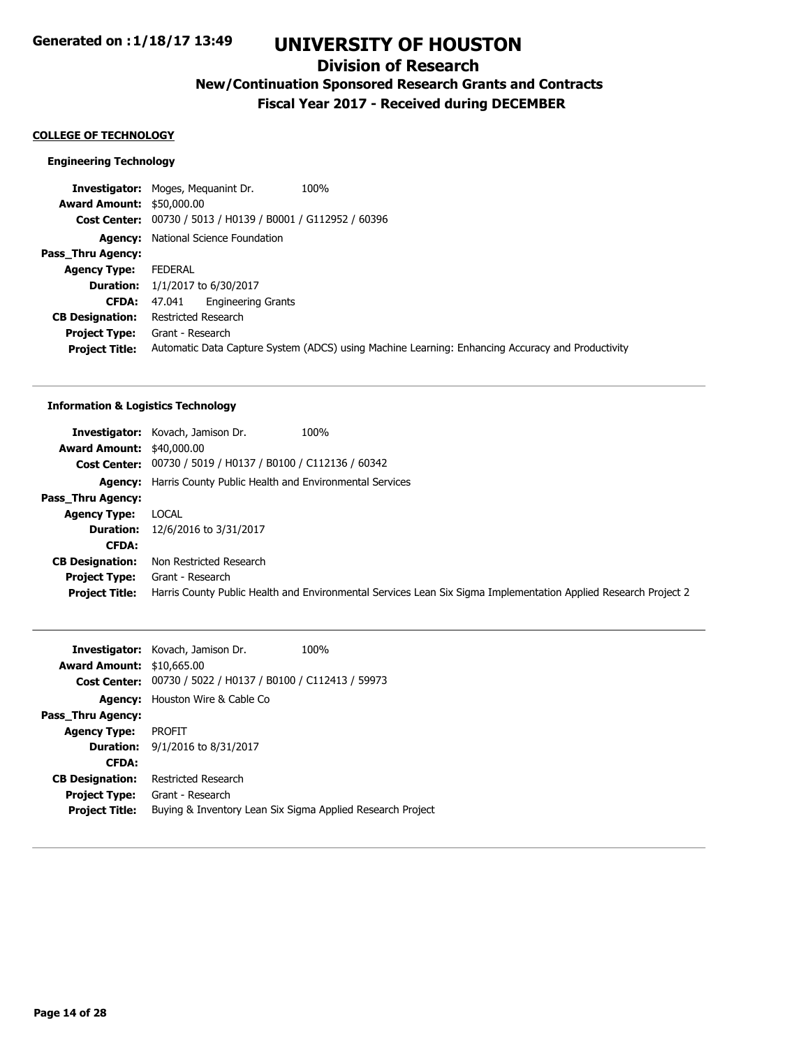## **Division of Research**

## **New/Continuation Sponsored Research Grants and Contracts**

**Fiscal Year 2017 - Received during DECEMBER**

#### **COLLEGE OF TECHNOLOGY**

#### **Engineering Technology**

**Investigator:** Moges, Mequanint Dr. 100% **Award Amount:** \$50,000.00 **Cost Center:** 00730 / 5013 / H0139 / B0001 / G112952 / 60396 **Agency:** National Science Foundation **Pass\_Thru Agency: Agency Type:** FEDERAL **Duration:** 1/1/2017 to 6/30/2017 **CFDA:** 47.041 Engineering Grants **CB Designation:** Restricted Research **Project Type:** Grant - Research **Project Title:** Automatic Data Capture System (ADCS) using Machine Learning: Enhancing Accuracy and Productivity

#### **Information & Logistics Technology**

| <b>Investigator:</b> Kovach, Jamison Dr.                              | 100%                                                                                                            |
|-----------------------------------------------------------------------|-----------------------------------------------------------------------------------------------------------------|
| <b>Award Amount: \$40,000.00</b>                                      |                                                                                                                 |
| <b>Cost Center:</b> 00730 / 5019 / H0137 / B0100 / C112136 / 60342    |                                                                                                                 |
| <b>Agency:</b> Harris County Public Health and Environmental Services |                                                                                                                 |
|                                                                       |                                                                                                                 |
| LOCAL                                                                 |                                                                                                                 |
| 12/6/2016 to 3/31/2017                                                |                                                                                                                 |
|                                                                       |                                                                                                                 |
| Non Restricted Research                                               |                                                                                                                 |
| Grant - Research                                                      |                                                                                                                 |
|                                                                       | Harris County Public Health and Environmental Services Lean Six Sigma Implementation Applied Research Project 2 |
|                                                                       |                                                                                                                 |

|                                  | Investigator: Kovach, Jamison Dr.                                  | 100% |
|----------------------------------|--------------------------------------------------------------------|------|
| <b>Award Amount: \$10,665.00</b> |                                                                    |      |
|                                  | <b>Cost Center:</b> 00730 / 5022 / H0137 / B0100 / C112413 / 59973 |      |
| Agency:                          | Houston Wire & Cable Co                                            |      |
| Pass Thru Agency:                |                                                                    |      |
| <b>Agency Type:</b>              | PROFIT                                                             |      |
|                                  | <b>Duration:</b> $9/1/2016$ to $8/31/2017$                         |      |
| <b>CFDA:</b>                     |                                                                    |      |
| <b>CB Designation:</b>           | Restricted Research                                                |      |
| <b>Project Type:</b>             | Grant - Research                                                   |      |
| <b>Project Title:</b>            | Buying & Inventory Lean Six Sigma Applied Research Project         |      |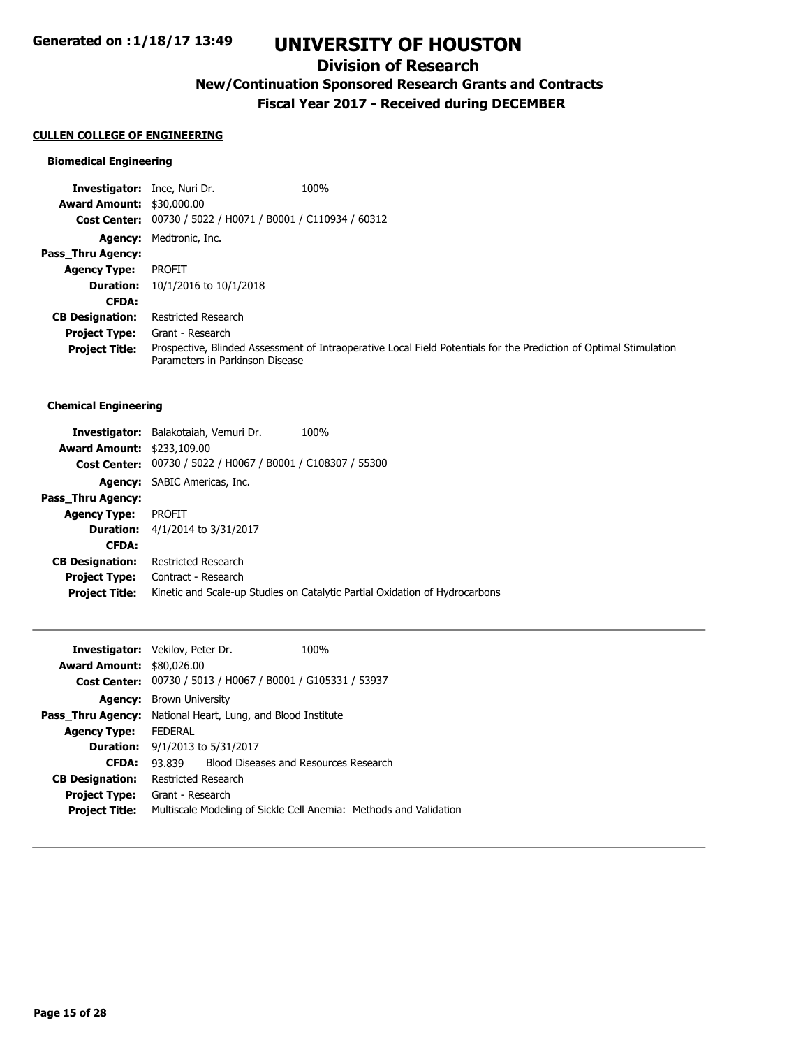## **Division of Research**

# **New/Continuation Sponsored Research Grants and Contracts**

**Fiscal Year 2017 - Received during DECEMBER**

### **CULLEN COLLEGE OF ENGINEERING**

### **Biomedical Engineering**

| <b>Investigator:</b> Ince, Nuri Dr. |                                                             | 100%                                                                                                               |
|-------------------------------------|-------------------------------------------------------------|--------------------------------------------------------------------------------------------------------------------|
| <b>Award Amount: \$30,000.00</b>    |                                                             |                                                                                                                    |
|                                     | Cost Center: 00730 / 5022 / H0071 / B0001 / C110934 / 60312 |                                                                                                                    |
|                                     | <b>Agency:</b> Medtronic, Inc.                              |                                                                                                                    |
| <b>Pass Thru Agency:</b>            |                                                             |                                                                                                                    |
| <b>Agency Type:</b>                 | <b>PROFIT</b>                                               |                                                                                                                    |
|                                     | <b>Duration:</b> $10/1/2016$ to $10/1/2018$                 |                                                                                                                    |
| <b>CFDA:</b>                        |                                                             |                                                                                                                    |
| <b>CB Designation:</b>              | Restricted Research                                         |                                                                                                                    |
| <b>Project Type:</b>                | Grant - Research                                            |                                                                                                                    |
| <b>Project Title:</b>               | Parameters in Parkinson Disease                             | Prospective, Blinded Assessment of Intraoperative Local Field Potentials for the Prediction of Optimal Stimulation |

#### **Chemical Engineering**

|                                   | <b>Investigator:</b> Balakotaiah, Vemuri Dr.   | 100%                                                                        |
|-----------------------------------|------------------------------------------------|-----------------------------------------------------------------------------|
| <b>Award Amount: \$233,109.00</b> |                                                |                                                                             |
| <b>Cost Center:</b>               | 00730 / 5022 / H0067 / B0001 / C108307 / 55300 |                                                                             |
|                                   | <b>Agency:</b> SABIC Americas, Inc.            |                                                                             |
| Pass Thru Agency:                 |                                                |                                                                             |
| <b>Agency Type:</b>               | <b>PROFIT</b>                                  |                                                                             |
|                                   | <b>Duration:</b> $4/1/2014$ to $3/31/2017$     |                                                                             |
| <b>CFDA:</b>                      |                                                |                                                                             |
| <b>CB Designation:</b>            | Restricted Research                            |                                                                             |
| <b>Project Type:</b>              | Contract - Research                            |                                                                             |
| <b>Project Title:</b>             |                                                | Kinetic and Scale-up Studies on Catalytic Partial Oxidation of Hydrocarbons |
|                                   |                                                |                                                                             |

|                                  | 100%                                                                                                                                                                |                                                                                                                                                                                                                                                 |
|----------------------------------|---------------------------------------------------------------------------------------------------------------------------------------------------------------------|-------------------------------------------------------------------------------------------------------------------------------------------------------------------------------------------------------------------------------------------------|
| <b>Award Amount: \$80,026.00</b> |                                                                                                                                                                     |                                                                                                                                                                                                                                                 |
|                                  |                                                                                                                                                                     |                                                                                                                                                                                                                                                 |
|                                  |                                                                                                                                                                     |                                                                                                                                                                                                                                                 |
|                                  |                                                                                                                                                                     |                                                                                                                                                                                                                                                 |
| <b>FEDERAL</b>                   |                                                                                                                                                                     |                                                                                                                                                                                                                                                 |
|                                  |                                                                                                                                                                     |                                                                                                                                                                                                                                                 |
| 93.839                           |                                                                                                                                                                     |                                                                                                                                                                                                                                                 |
|                                  |                                                                                                                                                                     |                                                                                                                                                                                                                                                 |
|                                  |                                                                                                                                                                     |                                                                                                                                                                                                                                                 |
|                                  |                                                                                                                                                                     |                                                                                                                                                                                                                                                 |
|                                  | <b>Investigator:</b> Vekilov, Peter Dr.<br><b>Agency:</b> Brown University<br><b>Duration:</b> $9/1/2013$ to $5/31/2017$<br>Restricted Research<br>Grant - Research | Cost Center: 00730 / 5013 / H0067 / B0001 / G105331 / 53937<br><b>Pass_Thru Agency:</b> National Heart, Lung, and Blood Institute<br>Blood Diseases and Resources Research<br>Multiscale Modeling of Sickle Cell Anemia: Methods and Validation |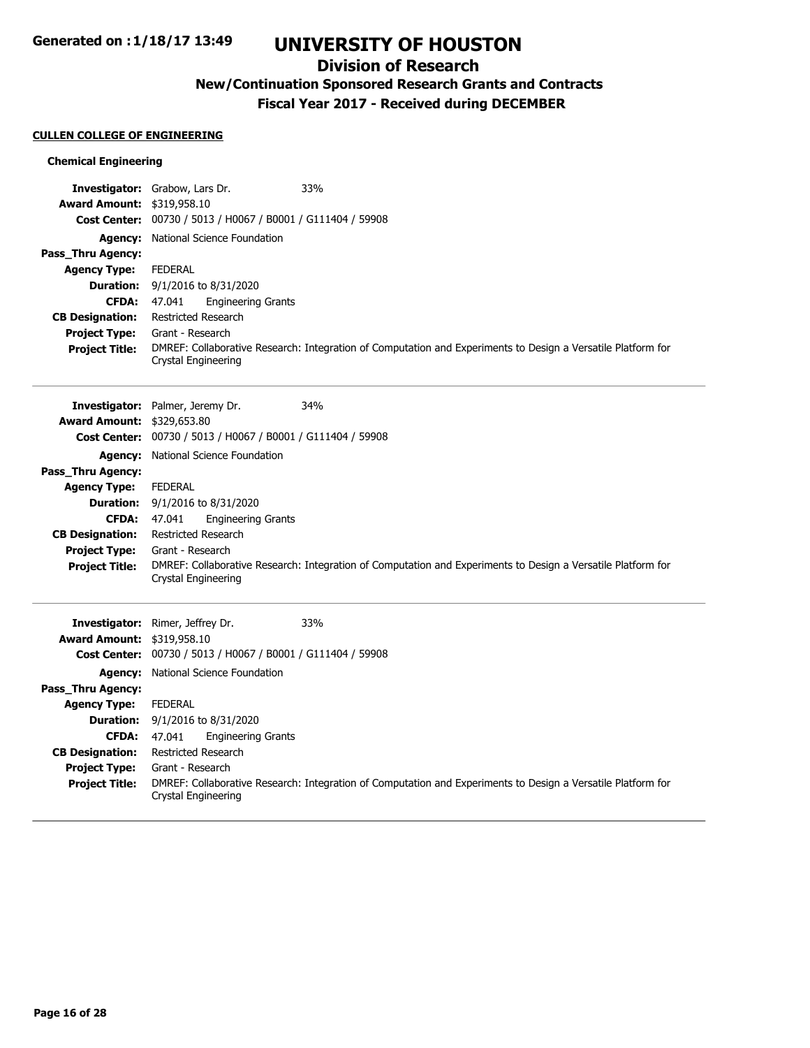## **Division of Research**

# **New/Continuation Sponsored Research Grants and Contracts**

**Fiscal Year 2017 - Received during DECEMBER**

### **CULLEN COLLEGE OF ENGINEERING**

### **Chemical Engineering**

|                                   | 33%<br>Investigator: Grabow, Lars Dr.                       |                                                                                                              |
|-----------------------------------|-------------------------------------------------------------|--------------------------------------------------------------------------------------------------------------|
| <b>Award Amount: \$319,958.10</b> |                                                             |                                                                                                              |
|                                   | Cost Center: 00730 / 5013 / H0067 / B0001 / G111404 / 59908 |                                                                                                              |
|                                   | <b>Agency:</b> National Science Foundation                  |                                                                                                              |
| Pass_Thru Agency:                 |                                                             |                                                                                                              |
| <b>Agency Type:</b>               | <b>FEDERAL</b>                                              |                                                                                                              |
| <b>Duration:</b>                  | 9/1/2016 to 8/31/2020                                       |                                                                                                              |
| <b>CFDA:</b>                      | 47.041<br><b>Engineering Grants</b>                         |                                                                                                              |
| <b>CB Designation:</b>            | <b>Restricted Research</b>                                  |                                                                                                              |
| <b>Project Type:</b>              | Grant - Research                                            |                                                                                                              |
| <b>Project Title:</b>             | Crystal Engineering                                         | DMREF: Collaborative Research: Integration of Computation and Experiments to Design a Versatile Platform for |
|                                   |                                                             |                                                                                                              |
|                                   | 34%<br>Investigator: Palmer, Jeremy Dr.                     |                                                                                                              |
| <b>Award Amount: \$329,653.80</b> |                                                             |                                                                                                              |
|                                   | Cost Center: 00730 / 5013 / H0067 / B0001 / G111404 / 59908 |                                                                                                              |
|                                   | <b>Agency:</b> National Science Foundation                  |                                                                                                              |
| Pass_Thru Agency:                 |                                                             |                                                                                                              |
| <b>Agency Type:</b>               | <b>FEDERAL</b>                                              |                                                                                                              |
| <b>Duration:</b>                  | 9/1/2016 to 8/31/2020                                       |                                                                                                              |
| <b>CFDA:</b>                      | <b>Engineering Grants</b><br>47.041                         |                                                                                                              |
| <b>CB Designation:</b>            | <b>Restricted Research</b>                                  |                                                                                                              |
| <b>Project Type:</b>              | Grant - Research                                            |                                                                                                              |
| <b>Project Title:</b>             | Crystal Engineering                                         | DMREF: Collaborative Research: Integration of Computation and Experiments to Design a Versatile Platform for |
|                                   |                                                             |                                                                                                              |
|                                   | 33%<br>Investigator: Rimer, Jeffrey Dr.                     |                                                                                                              |
| <b>Award Amount: \$319,958.10</b> |                                                             |                                                                                                              |
|                                   | Cost Center: 00730 / 5013 / H0067 / B0001 / G111404 / 59908 |                                                                                                              |
|                                   | <b>Agency:</b> National Science Foundation                  |                                                                                                              |
| Pass_Thru Agency:                 |                                                             |                                                                                                              |
| <b>Agency Type:</b>               | <b>FEDERAL</b>                                              |                                                                                                              |
| <b>Duration:</b>                  | 9/1/2016 to 8/31/2020                                       |                                                                                                              |
| <b>CFDA:</b>                      | 47.041<br><b>Engineering Grants</b>                         |                                                                                                              |
| <b>CB Designation:</b>            | Restricted Research                                         |                                                                                                              |
| <b>Project Type:</b>              | Grant - Research                                            |                                                                                                              |
| <b>Project Title:</b>             | Crystal Engineering                                         | DMREF: Collaborative Research: Integration of Computation and Experiments to Design a Versatile Platform for |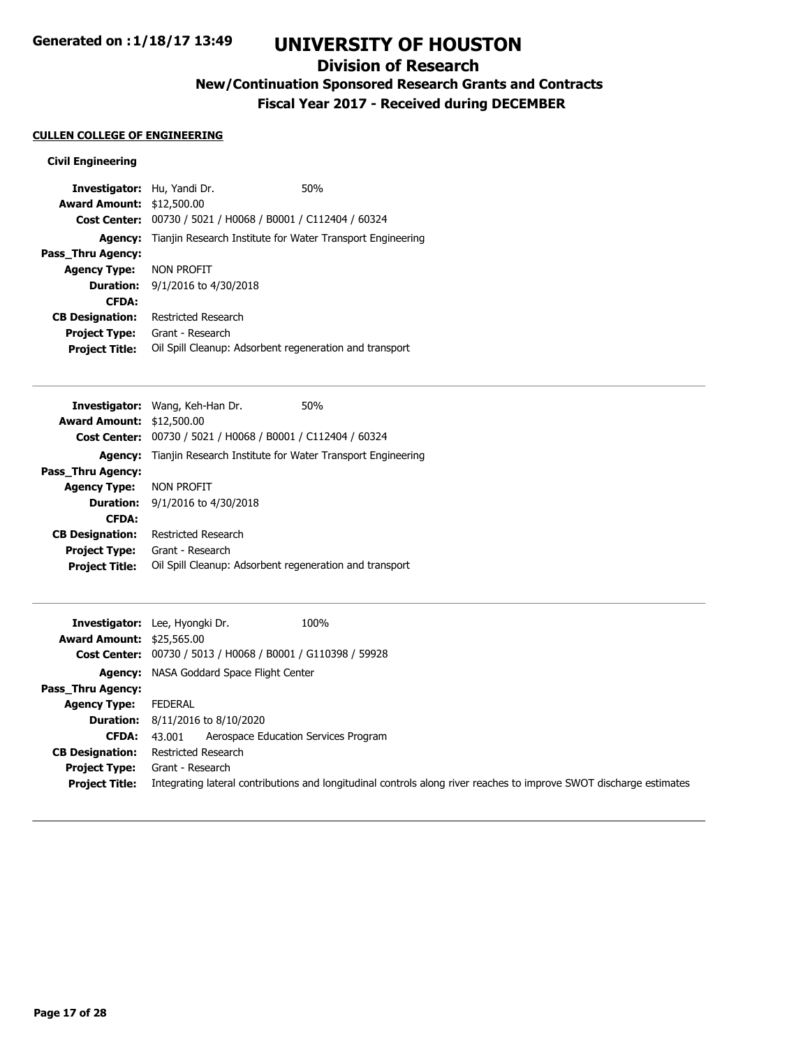## **Division of Research**

# **New/Continuation Sponsored Research Grants and Contracts**

**Fiscal Year 2017 - Received during DECEMBER**

### **CULLEN COLLEGE OF ENGINEERING**

#### **Civil Engineering**

| <b>Investigator:</b> Hu, Yandi Dr. |                                                                           | 50% |
|------------------------------------|---------------------------------------------------------------------------|-----|
| <b>Award Amount: \$12,500.00</b>   |                                                                           |     |
| <b>Cost Center:</b>                | 00730 / 5021 / H0068 / B0001 / C112404 / 60324                            |     |
|                                    | <b>Agency:</b> Tianjin Research Institute for Water Transport Engineering |     |
| Pass Thru Agency:                  |                                                                           |     |
| <b>Agency Type:</b>                | NON PROFIT                                                                |     |
| <b>Duration:</b>                   | 9/1/2016 to 4/30/2018                                                     |     |
| <b>CFDA:</b>                       |                                                                           |     |
| <b>CB Designation:</b>             | Restricted Research                                                       |     |
| <b>Project Type:</b>               | Grant - Research                                                          |     |
| <b>Project Title:</b>              | Oil Spill Cleanup: Adsorbent regeneration and transport                   |     |

| <b>Investigator:</b> Wang, Keh-Han Dr.<br>50%                             |
|---------------------------------------------------------------------------|
| <b>Award Amount: \$12,500.00</b>                                          |
| Cost Center: 00730 / 5021 / H0068 / B0001 / C112404 / 60324               |
| <b>Agency:</b> Tianjin Research Institute for Water Transport Engineering |
|                                                                           |
| <b>Agency Type: NON PROFIT</b>                                            |
| <b>Duration:</b> $9/1/2016$ to $4/30/2018$                                |
|                                                                           |
| Restricted Research                                                       |
| Grant - Research                                                          |
| Oil Spill Cleanup: Adsorbent regeneration and transport                   |
|                                                                           |

|                                  | 100%<br><b>Investigator:</b> Lee, Hyongki Dr.                                                                       |
|----------------------------------|---------------------------------------------------------------------------------------------------------------------|
| <b>Award Amount: \$25,565.00</b> |                                                                                                                     |
|                                  | Cost Center: 00730 / 5013 / H0068 / B0001 / G110398 / 59928                                                         |
|                                  | <b>Agency:</b> NASA Goddard Space Flight Center                                                                     |
| <b>Pass Thru Agency:</b>         |                                                                                                                     |
| <b>Agency Type:</b>              | FEDERAL                                                                                                             |
|                                  | <b>Duration:</b> $8/11/2016$ to $8/10/2020$                                                                         |
| CFDA:                            | Aerospace Education Services Program<br>43.001                                                                      |
| <b>CB Designation:</b>           | Restricted Research                                                                                                 |
|                                  | <b>Project Type:</b> Grant - Research                                                                               |
| <b>Project Title:</b>            | Integrating lateral contributions and longitudinal controls along river reaches to improve SWOT discharge estimates |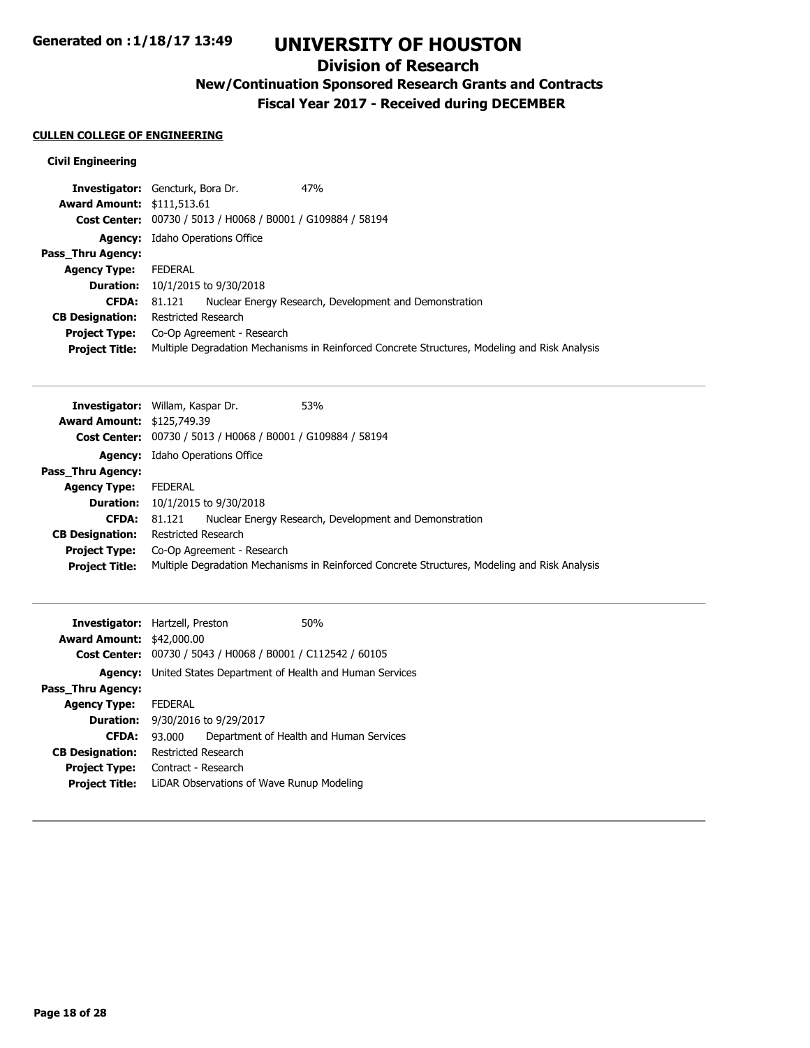## **Division of Research**

# **New/Continuation Sponsored Research Grants and Contracts**

**Fiscal Year 2017 - Received during DECEMBER**

### **CULLEN COLLEGE OF ENGINEERING**

### **Civil Engineering**

| <b>Investigator:</b> Gencturk, Bora Dr. |                                         |                                                             | 47%                                                                                           |
|-----------------------------------------|-----------------------------------------|-------------------------------------------------------------|-----------------------------------------------------------------------------------------------|
| <b>Award Amount: \$111,513.61</b>       |                                         |                                                             |                                                                                               |
|                                         |                                         | Cost Center: 00730 / 5013 / H0068 / B0001 / G109884 / 58194 |                                                                                               |
|                                         | <b>Agency:</b> Idaho Operations Office  |                                                             |                                                                                               |
| Pass Thru Agency:                       |                                         |                                                             |                                                                                               |
| <b>Agency Type:</b>                     | <b>FEDERAL</b>                          |                                                             |                                                                                               |
|                                         | <b>Duration:</b> 10/1/2015 to 9/30/2018 |                                                             |                                                                                               |
| <b>CFDA:</b>                            | 81.121                                  |                                                             | Nuclear Energy Research, Development and Demonstration                                        |
| <b>CB Designation:</b>                  | Restricted Research                     |                                                             |                                                                                               |
| <b>Project Type:</b>                    |                                         | Co-Op Agreement - Research                                  |                                                                                               |
| <b>Project Title:</b>                   |                                         |                                                             | Multiple Degradation Mechanisms in Reinforced Concrete Structures, Modeling and Risk Analysis |

|                                   | 53%<br><b>Investigator:</b> Willam, Kaspar Dr.                                                |
|-----------------------------------|-----------------------------------------------------------------------------------------------|
| <b>Award Amount: \$125,749.39</b> |                                                                                               |
|                                   | Cost Center: 00730 / 5013 / H0068 / B0001 / G109884 / 58194                                   |
|                                   | <b>Agency:</b> Idaho Operations Office                                                        |
| <b>Pass Thru Agency:</b>          |                                                                                               |
| <b>Agency Type:</b>               | <b>FEDERAL</b>                                                                                |
|                                   | <b>Duration:</b> 10/1/2015 to 9/30/2018                                                       |
| <b>CFDA:</b>                      | Nuclear Energy Research, Development and Demonstration<br>81.121                              |
| <b>CB Designation:</b>            | Restricted Research                                                                           |
| <b>Project Type:</b>              | Co-Op Agreement - Research                                                                    |
| <b>Project Title:</b>             | Multiple Degradation Mechanisms in Reinforced Concrete Structures, Modeling and Risk Analysis |

| <b>Investigator:</b> Hartzell, Preston |                            |                                           | 50%                                                   |
|----------------------------------------|----------------------------|-------------------------------------------|-------------------------------------------------------|
| <b>Award Amount: \$42,000.00</b>       |                            |                                           |                                                       |
| <b>Cost Center:</b>                    |                            |                                           | 00730 / 5043 / H0068 / B0001 / C112542 / 60105        |
| Agency:                                |                            |                                           | United States Department of Health and Human Services |
| Pass Thru Agency:                      |                            |                                           |                                                       |
| <b>Agency Type:</b>                    | <b>FEDERAL</b>             |                                           |                                                       |
| <b>Duration:</b>                       | 9/30/2016 to 9/29/2017     |                                           |                                                       |
| <b>CFDA:</b>                           | 93.000                     |                                           | Department of Health and Human Services               |
| <b>CB Designation:</b>                 | <b>Restricted Research</b> |                                           |                                                       |
| <b>Project Type:</b>                   | Contract - Research        |                                           |                                                       |
| <b>Project Title:</b>                  |                            | LIDAR Observations of Wave Runup Modeling |                                                       |
|                                        |                            |                                           |                                                       |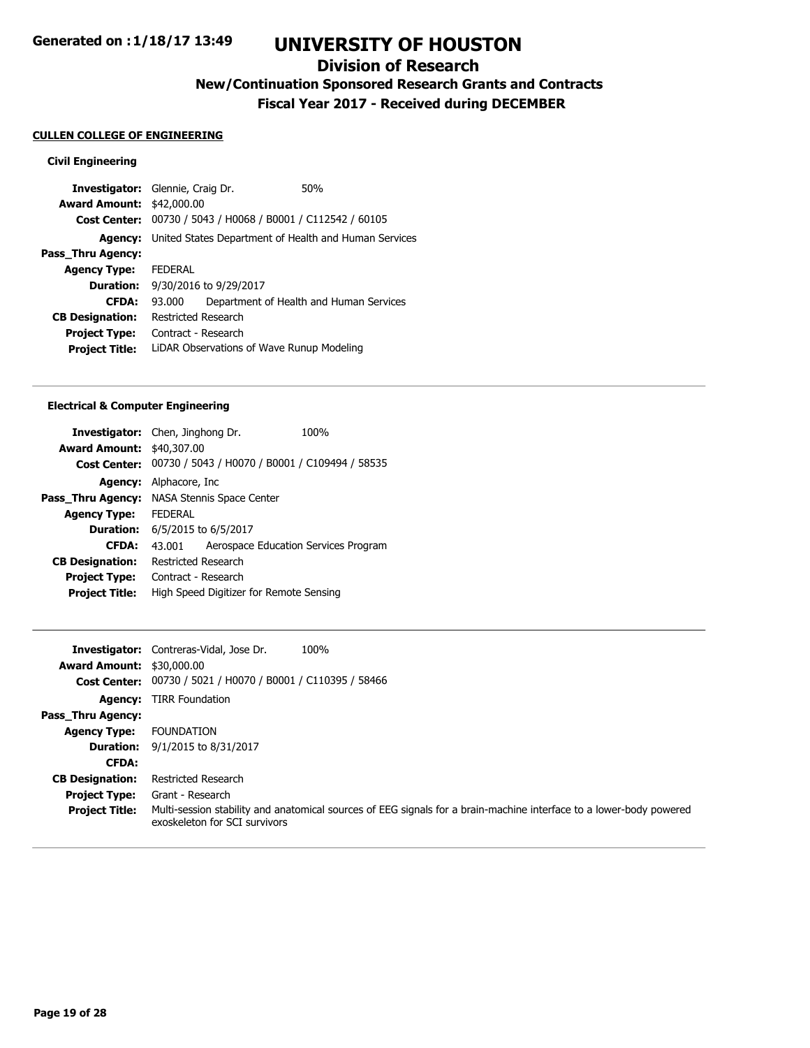## **Division of Research**

**New/Continuation Sponsored Research Grants and Contracts**

**Fiscal Year 2017 - Received during DECEMBER**

#### **CULLEN COLLEGE OF ENGINEERING**

#### **Civil Engineering**

| <b>Investigator:</b> Glennie, Craig Dr. |                     |                                                | 50%                                                                  |
|-----------------------------------------|---------------------|------------------------------------------------|----------------------------------------------------------------------|
| <b>Award Amount: \$42,000.00</b>        |                     |                                                |                                                                      |
| <b>Cost Center:</b>                     |                     | 00730 / 5043 / H0068 / B0001 / C112542 / 60105 |                                                                      |
|                                         |                     |                                                | <b>Agency:</b> United States Department of Health and Human Services |
| Pass Thru Agency:                       |                     |                                                |                                                                      |
| <b>Agency Type:</b>                     | <b>FEDERAL</b>      |                                                |                                                                      |
| <b>Duration:</b>                        |                     | 9/30/2016 to 9/29/2017                         |                                                                      |
| <b>CFDA:</b>                            | 93.000              |                                                | Department of Health and Human Services                              |
| <b>CB Designation:</b>                  | Restricted Research |                                                |                                                                      |
| <b>Project Type:</b>                    | Contract - Research |                                                |                                                                      |
| <b>Project Title:</b>                   |                     | LIDAR Observations of Wave Runup Modeling      |                                                                      |

#### **Electrical & Computer Engineering**

| <b>Investigator:</b> Chen, Jinghong Dr.<br><b>Award Amount: \$40,307.00</b> | 100%                                 |
|-----------------------------------------------------------------------------|--------------------------------------|
| 00730 / 5043 / H0070 / B0001 / C109494 / 58535                              |                                      |
| Alphacore, Inc.                                                             |                                      |
| NASA Stennis Space Center                                                   |                                      |
| <b>FFDFRAI</b>                                                              |                                      |
| <b>Duration:</b> 6/5/2015 to 6/5/2017                                       |                                      |
| 43.001                                                                      | Aerospace Education Services Program |
| Restricted Research                                                         |                                      |
| Contract - Research                                                         |                                      |
| High Speed Digitizer for Remote Sensing                                     |                                      |
|                                                                             |                                      |

|                                  | 100%<br><b>Investigator:</b> Contreras-Vidal, Jose Dr.                                                                                               |
|----------------------------------|------------------------------------------------------------------------------------------------------------------------------------------------------|
| <b>Award Amount: \$30,000.00</b> |                                                                                                                                                      |
|                                  | Cost Center: 00730 / 5021 / H0070 / B0001 / C110395 / 58466                                                                                          |
| <b>Agency:</b>                   | <b>TIRR Foundation</b>                                                                                                                               |
| <b>Pass Thru Agency:</b>         |                                                                                                                                                      |
| <b>Agency Type:</b>              | <b>FOUNDATION</b>                                                                                                                                    |
| <b>Duration:</b>                 | 9/1/2015 to 8/31/2017                                                                                                                                |
| <b>CFDA:</b>                     |                                                                                                                                                      |
| <b>CB Designation:</b>           | Restricted Research                                                                                                                                  |
| <b>Project Type:</b>             | Grant - Research                                                                                                                                     |
| <b>Project Title:</b>            | Multi-session stability and anatomical sources of EEG signals for a brain-machine interface to a lower-body powered<br>exoskeleton for SCI survivors |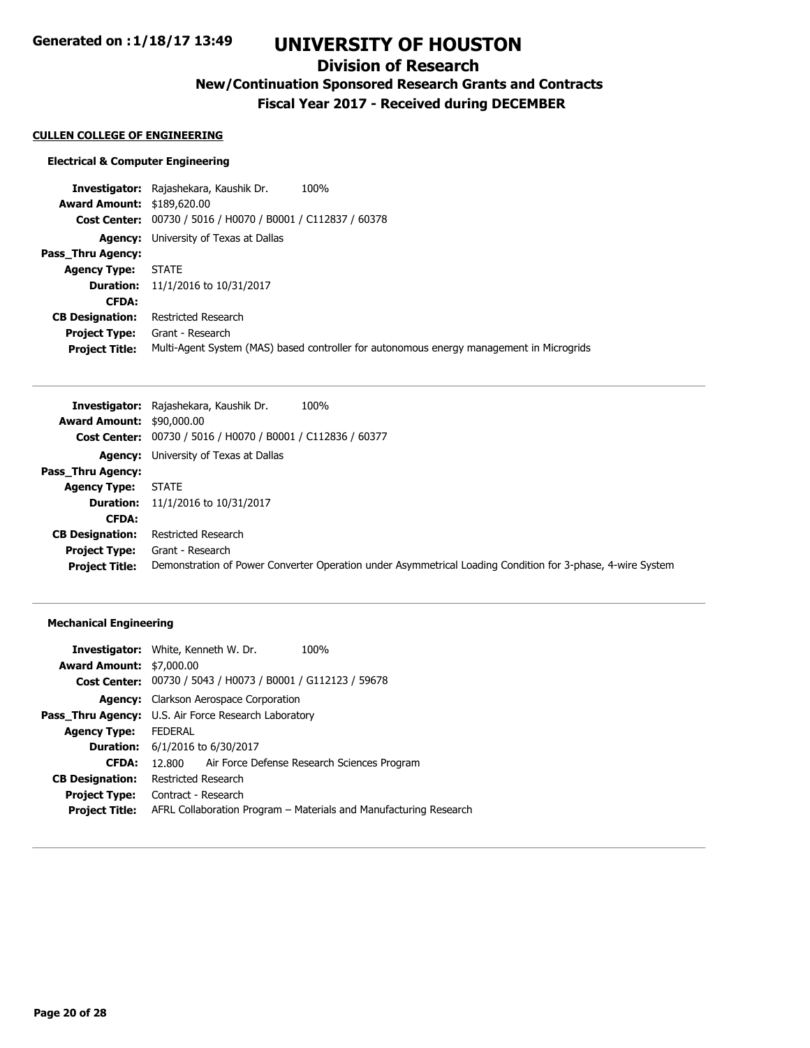## **Division of Research**

# **New/Continuation Sponsored Research Grants and Contracts**

**Fiscal Year 2017 - Received during DECEMBER**

#### **CULLEN COLLEGE OF ENGINEERING**

#### **Electrical & Computer Engineering**

**Investigator:** Rajashekara, Kaushik Dr. 100% **Award Amount:** \$189,620.00 **Cost Center:** 00730 / 5016 / H0070 / B0001 / C112837 / 60378 **Agency:** University of Texas at Dallas **Pass\_Thru Agency: Agency Type:** STATE **Duration:** 11/1/2016 to 10/31/2017 **CFDA: CB Designation:** Restricted Research **Project Type:** Grant - Research **Project Title:** Multi-Agent System (MAS) based controller for autonomous energy management in Microgrids

|                                  | Investigator: Rajashekara, Kaushik Dr.<br>100%                                                             |
|----------------------------------|------------------------------------------------------------------------------------------------------------|
| <b>Award Amount: \$90,000.00</b> |                                                                                                            |
|                                  | Cost Center: 00730 / 5016 / H0070 / B0001 / C112836 / 60377                                                |
|                                  | <b>Agency:</b> University of Texas at Dallas                                                               |
| Pass Thru Agency:                |                                                                                                            |
| <b>Agency Type:</b>              | <b>STATE</b>                                                                                               |
| <b>Duration:</b>                 | 11/1/2016 to 10/31/2017                                                                                    |
| <b>CFDA:</b>                     |                                                                                                            |
| <b>CB Designation:</b>           | <b>Restricted Research</b>                                                                                 |
| <b>Project Type:</b>             | Grant - Research                                                                                           |
| <b>Project Title:</b>            | Demonstration of Power Converter Operation under Asymmetrical Loading Condition for 3-phase, 4-wire System |

#### **Mechanical Engineering**

| <b>Investigator:</b> White, Kenneth W. Dr.                         | 100%                                                              |  |
|--------------------------------------------------------------------|-------------------------------------------------------------------|--|
| <b>Award Amount: \$7,000.00</b>                                    |                                                                   |  |
| <b>Cost Center:</b> 00730 / 5043 / H0073 / B0001 / G112123 / 59678 |                                                                   |  |
| Agency: Clarkson Aerospace Corporation                             |                                                                   |  |
| <b>Pass Thru Agency:</b> U.S. Air Force Research Laboratory        |                                                                   |  |
| FEDERAL                                                            |                                                                   |  |
| <b>Duration:</b> 6/1/2016 to 6/30/2017                             |                                                                   |  |
| 12.800 Air Force Defense Research Sciences Program                 |                                                                   |  |
| Restricted Research                                                |                                                                   |  |
| Contract - Research                                                |                                                                   |  |
|                                                                    | AFRL Collaboration Program - Materials and Manufacturing Research |  |
|                                                                    |                                                                   |  |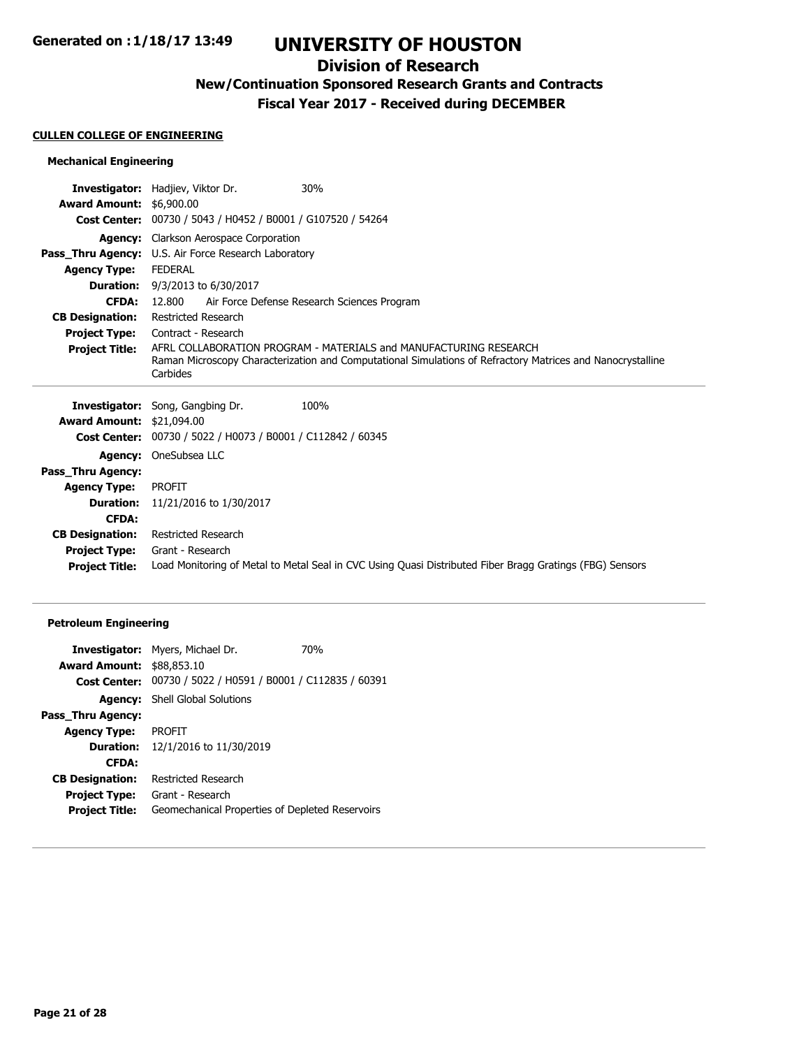## **Division of Research**

## **New/Continuation Sponsored Research Grants and Contracts**

**Fiscal Year 2017 - Received during DECEMBER**

#### **CULLEN COLLEGE OF ENGINEERING**

### **Mechanical Engineering**

|                                  | 30%<br><b>Investigator:</b> Hadjiev, Viktor Dr.                                                            |
|----------------------------------|------------------------------------------------------------------------------------------------------------|
| <b>Award Amount: \$6,900.00</b>  |                                                                                                            |
| <b>Cost Center:</b>              | 00730 / 5043 / H0452 / B0001 / G107520 / 54264                                                             |
|                                  | <b>Agency:</b> Clarkson Aerospace Corporation                                                              |
|                                  | <b>Pass_Thru Agency:</b> U.S. Air Force Research Laboratory                                                |
| <b>Agency Type:</b>              | <b>FEDERAL</b>                                                                                             |
|                                  | <b>Duration:</b> 9/3/2013 to 6/30/2017                                                                     |
| <b>CFDA:</b>                     | 12.800<br>Air Force Defense Research Sciences Program                                                      |
| <b>CB Designation:</b>           | <b>Restricted Research</b>                                                                                 |
| <b>Project Type:</b>             | Contract - Research                                                                                        |
| <b>Project Title:</b>            | AFRL COLLABORATION PROGRAM - MATERIALS and MANUFACTURING RESEARCH                                          |
|                                  | Raman Microscopy Characterization and Computational Simulations of Refractory Matrices and Nanocrystalline |
|                                  | Carbides                                                                                                   |
|                                  |                                                                                                            |
|                                  | <b>Investigator:</b> Song, Gangbing Dr.<br>100%                                                            |
| <b>Award Amount: \$21,094.00</b> |                                                                                                            |
|                                  | Cost Center: 00730 / 5022 / H0073 / B0001 / C112842 / 60345                                                |
|                                  | <b>Agency:</b> OneSubsea LLC                                                                               |
| Pass_Thru Agency:                |                                                                                                            |
| <b>Agency Type:</b>              | <b>PROFIT</b>                                                                                              |
| <b>Duration:</b>                 | 11/21/2016 to 1/30/2017                                                                                    |
| <b>CFDA:</b>                     |                                                                                                            |
| <b>CB Designation:</b>           | <b>Restricted Research</b>                                                                                 |

**Project Title:** Load Monitoring of Metal to Metal Seal in CVC Using Quasi Distributed Fiber Bragg Gratings (FBG) Sensors

### **Petroleum Engineering**

|                                  | Investigator: Myers, Michael Dr.                                   | <b>70%</b> |
|----------------------------------|--------------------------------------------------------------------|------------|
| <b>Award Amount: \$88,853.10</b> |                                                                    |            |
|                                  | <b>Cost Center:</b> 00730 / 5022 / H0591 / B0001 / C112835 / 60391 |            |
|                                  | <b>Agency:</b> Shell Global Solutions                              |            |
| Pass_Thru Agency:                |                                                                    |            |
| <b>Agency Type:</b>              | PROFIT                                                             |            |
| <b>Duration:</b>                 | 12/1/2016 to 11/30/2019                                            |            |
| <b>CFDA:</b>                     |                                                                    |            |
| <b>CB Designation:</b>           | Restricted Research                                                |            |
| <b>Project Type:</b>             | Grant - Research                                                   |            |
| <b>Project Title:</b>            | Geomechanical Properties of Depleted Reservoirs                    |            |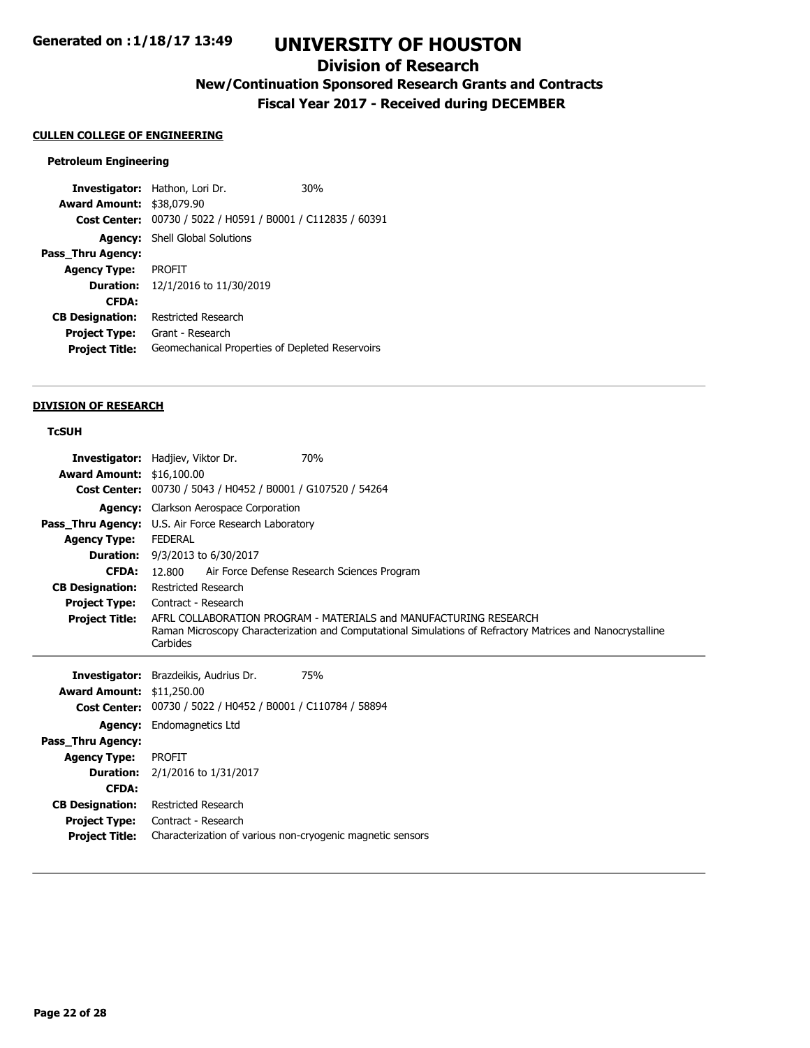## **Division of Research**

# **New/Continuation Sponsored Research Grants and Contracts**

**Fiscal Year 2017 - Received during DECEMBER**

#### **CULLEN COLLEGE OF ENGINEERING**

#### **Petroleum Engineering**

**Investigator:** Hathon, Lori Dr. 30% **Award Amount:** \$38,079.90 **Cost Center:** 00730 / 5022 / H0591 / B0001 / C112835 / 60391 **Agency:** Shell Global Solutions **Pass\_Thru Agency: Agency Type:** PROFIT **Duration:** 12/1/2016 to 11/30/2019 **CFDA: CB Designation:** Restricted Research **Project Type:** Grant - Research **Project Title:** Geomechanical Properties of Depleted Reservoirs

#### **DIVISION OF RESEARCH**

#### **TcSUH**

| Investigator:          | Hadjiev, Viktor Dr.                                        | 70%                                                                                                        |
|------------------------|------------------------------------------------------------|------------------------------------------------------------------------------------------------------------|
| <b>Award Amount:</b>   | \$16,100.00                                                |                                                                                                            |
| <b>Cost Center:</b>    | 00730 / 5043 / H0452 / B0001 / G107520 / 54264             |                                                                                                            |
| <b>Agency:</b>         | Clarkson Aerospace Corporation                             |                                                                                                            |
| Pass_Thru Agency:      | U.S. Air Force Research Laboratory                         |                                                                                                            |
| <b>Agency Type:</b>    | <b>FEDERAL</b>                                             |                                                                                                            |
| <b>Duration:</b>       | 9/3/2013 to 6/30/2017                                      |                                                                                                            |
| <b>CFDA:</b>           | 12.800                                                     | Air Force Defense Research Sciences Program                                                                |
| <b>CB Designation:</b> | <b>Restricted Research</b>                                 |                                                                                                            |
| <b>Project Type:</b>   | Contract - Research                                        |                                                                                                            |
| <b>Project Title:</b>  |                                                            | AFRI COLLABORATION PROGRAM - MATFRIALS and MANUFACTURING RESEARCH                                          |
|                        | Carbides                                                   | Raman Microscopy Characterization and Computational Simulations of Refractory Matrices and Nanocrystalline |
|                        |                                                            |                                                                                                            |
|                        |                                                            |                                                                                                            |
| Investigator:          | Brazdeikis, Audrius Dr.                                    | 75%                                                                                                        |
| <b>Award Amount:</b>   | \$11,250.00                                                |                                                                                                            |
| <b>Cost Center:</b>    | 00730 / 5022 / H0452 / B0001 / C110784 / 58894             |                                                                                                            |
| <b>Agency:</b>         | Endomagnetics Ltd                                          |                                                                                                            |
| Pass_Thru Agency:      |                                                            |                                                                                                            |
| <b>Agency Type:</b>    | <b>PROFIT</b>                                              |                                                                                                            |
| <b>Duration:</b>       | 2/1/2016 to 1/31/2017                                      |                                                                                                            |
| <b>CFDA:</b>           |                                                            |                                                                                                            |
| <b>CB Designation:</b> | <b>Restricted Research</b>                                 |                                                                                                            |
| <b>Project Type:</b>   | Contract - Research                                        |                                                                                                            |
| <b>Project Title:</b>  | Characterization of various non-cryogenic magnetic sensors |                                                                                                            |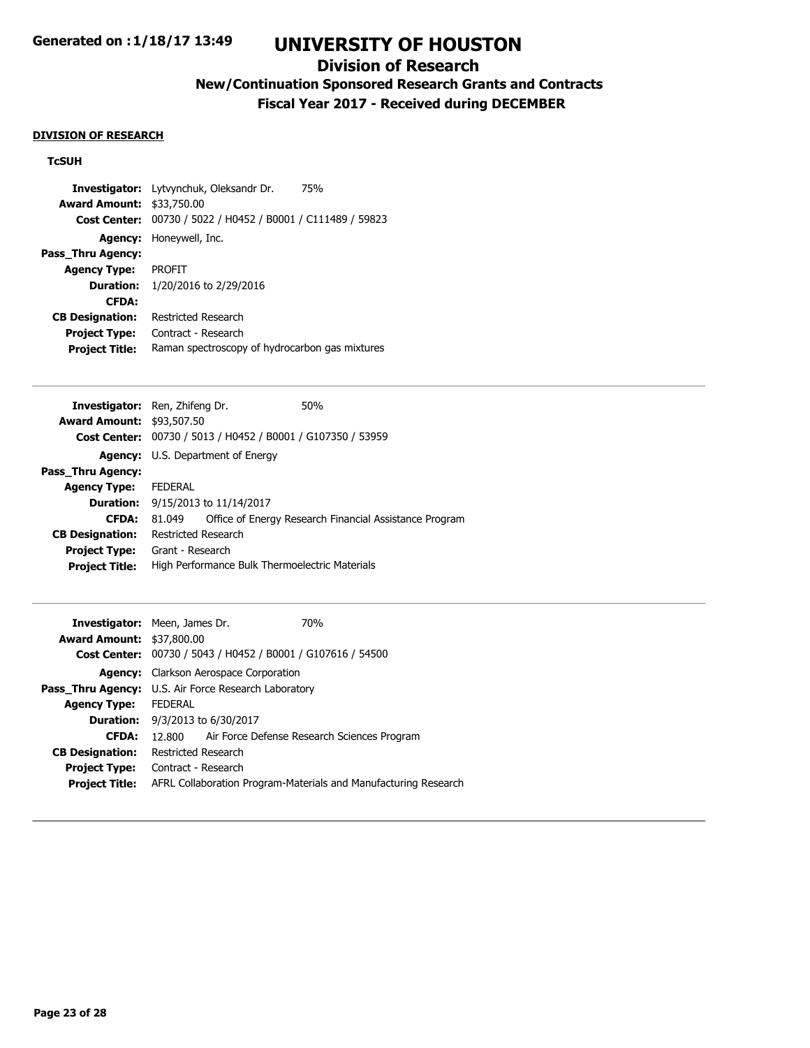## **Division of Research**

## **New/Continuation Sponsored Research Grants and Contracts**

**Fiscal Year 2017 - Received during DECEMBER**

#### **DIVISION OF RESEARCH**

### **TcSUH**

|                        | <b>Investigator:</b> Lytvynchuk, Oleksandr Dr.<br>75% |
|------------------------|-------------------------------------------------------|
| <b>Award Amount:</b>   | \$33,750.00                                           |
| <b>Cost Center:</b>    | 00730 / 5022 / H0452 / B0001 / C111489 / 59823        |
| <b>Agency:</b>         | Honeywell, Inc.                                       |
| Pass Thru Agency:      |                                                       |
| <b>Agency Type:</b>    | <b>PROFIT</b>                                         |
| <b>Duration:</b>       | 1/20/2016 to 2/29/2016                                |
| <b>CFDA:</b>           |                                                       |
| <b>CB Designation:</b> | Restricted Research                                   |
| <b>Project Type:</b>   | Contract - Research                                   |
| <b>Project Title:</b>  | Raman spectroscopy of hydrocarbon gas mixtures        |

| <b>Investigator:</b> Ren, Zhifeng Dr. |                     |                                                             | 50%                                                    |
|---------------------------------------|---------------------|-------------------------------------------------------------|--------------------------------------------------------|
| <b>Award Amount: \$93,507.50</b>      |                     |                                                             |                                                        |
|                                       |                     | Cost Center: 00730 / 5013 / H0452 / B0001 / G107350 / 53959 |                                                        |
|                                       |                     | <b>Agency:</b> U.S. Department of Energy                    |                                                        |
| Pass Thru Agency:                     |                     |                                                             |                                                        |
| <b>Agency Type:</b>                   | <b>FEDERAL</b>      |                                                             |                                                        |
|                                       |                     | <b>Duration:</b> $9/15/2013$ to $11/14/2017$                |                                                        |
| <b>CFDA:</b>                          | 81 049              |                                                             | Office of Energy Research Financial Assistance Program |
| <b>CB Designation:</b>                | Restricted Research |                                                             |                                                        |
| <b>Project Type:</b>                  | Grant - Research    |                                                             |                                                        |
| <b>Project Title:</b>                 |                     | High Performance Bulk Thermoelectric Materials              |                                                        |
|                                       |                     |                                                             |                                                        |

| <b>Award Amount: \$37,800.00</b> | <b>Investigator:</b> Meen, James Dr.                        | 70 <sub>%</sub>                                                 |  |
|----------------------------------|-------------------------------------------------------------|-----------------------------------------------------------------|--|
|                                  | Cost Center: 00730 / 5043 / H0452 / B0001 / G107616 / 54500 |                                                                 |  |
| <b>Agency:</b>                   | Clarkson Aerospace Corporation                              |                                                                 |  |
|                                  | <b>Pass_Thru Agency:</b> U.S. Air Force Research Laboratory |                                                                 |  |
| <b>Agency Type:</b>              | <b>FEDERAL</b>                                              |                                                                 |  |
|                                  | <b>Duration:</b> 9/3/2013 to 6/30/2017                      |                                                                 |  |
| <b>CFDA:</b>                     | 12.800 Air Force Defense Research Sciences Program          |                                                                 |  |
| <b>CB Designation:</b>           | Restricted Research                                         |                                                                 |  |
| <b>Project Type:</b>             | Contract - Research                                         |                                                                 |  |
| <b>Project Title:</b>            |                                                             | AFRL Collaboration Program-Materials and Manufacturing Research |  |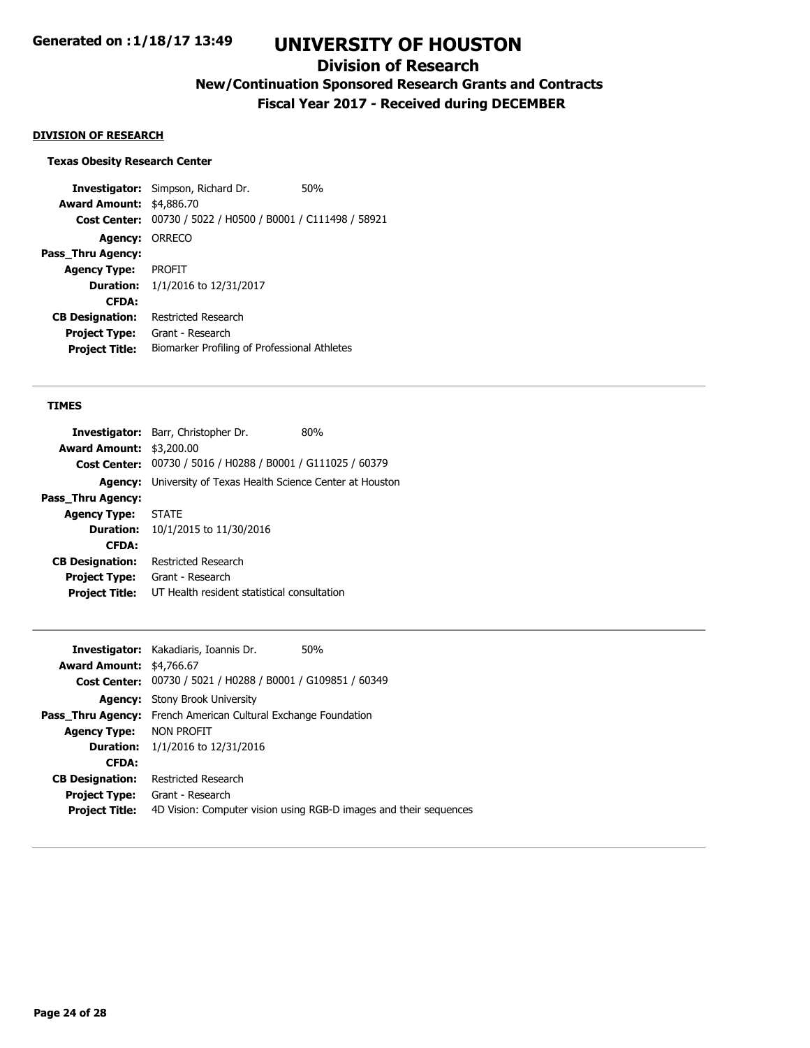## **Division of Research**

**New/Continuation Sponsored Research Grants and Contracts**

**Fiscal Year 2017 - Received during DECEMBER**

#### **DIVISION OF RESEARCH**

### **Texas Obesity Research Center**

**Investigator:** Simpson, Richard Dr. 50% **Award Amount:** \$4,886.70 **Cost Center:** 00730 / 5022 / H0500 / B0001 / C111498 / 58921 **Agency:** ORRECO **Pass\_Thru Agency: Agency Type:** PROFIT **Duration:** 1/1/2016 to 12/31/2017 **CFDA: CB Designation:** Restricted Research **Project Type:** Grant - Research **Project Title:** Biomarker Profiling of Professional Athletes

#### **TIMES**

|                                 | Investigator: Barr, Christopher Dr.<br>80%                          |
|---------------------------------|---------------------------------------------------------------------|
| <b>Award Amount: \$3,200.00</b> |                                                                     |
|                                 | Cost Center: 00730 / 5016 / H0288 / B0001 / G111025 / 60379         |
|                                 | <b>Agency:</b> University of Texas Health Science Center at Houston |
| Pass Thru Agency:               |                                                                     |
| <b>Agency Type:</b>             | <b>STATE</b>                                                        |
|                                 | <b>Duration:</b> 10/1/2015 to 11/30/2016                            |
| <b>CFDA:</b>                    |                                                                     |
| <b>CB Designation:</b>          | Restricted Research                                                 |
| <b>Project Type:</b>            | Grant - Research                                                    |
| <b>Project Title:</b>           | UT Health resident statistical consultation                         |
|                                 |                                                                     |

|                                 | <b>Investigator:</b> Kakadiaris, Ioannis Dr.                          | 50%                                                               |
|---------------------------------|-----------------------------------------------------------------------|-------------------------------------------------------------------|
| <b>Award Amount: \$4,766.67</b> |                                                                       |                                                                   |
|                                 | Cost Center: 00730 / 5021 / H0288 / B0001 / G109851 / 60349           |                                                                   |
|                                 | <b>Agency:</b> Stony Brook University                                 |                                                                   |
|                                 | <b>Pass Thru Agency:</b> French American Cultural Exchange Foundation |                                                                   |
| <b>Agency Type: NON PROFIT</b>  |                                                                       |                                                                   |
|                                 | <b>Duration:</b> 1/1/2016 to 12/31/2016                               |                                                                   |
| <b>CFDA:</b>                    |                                                                       |                                                                   |
| <b>CB Designation:</b>          | Restricted Research                                                   |                                                                   |
| <b>Project Type:</b>            | Grant - Research                                                      |                                                                   |
| <b>Project Title:</b>           |                                                                       | 4D Vision: Computer vision using RGB-D images and their sequences |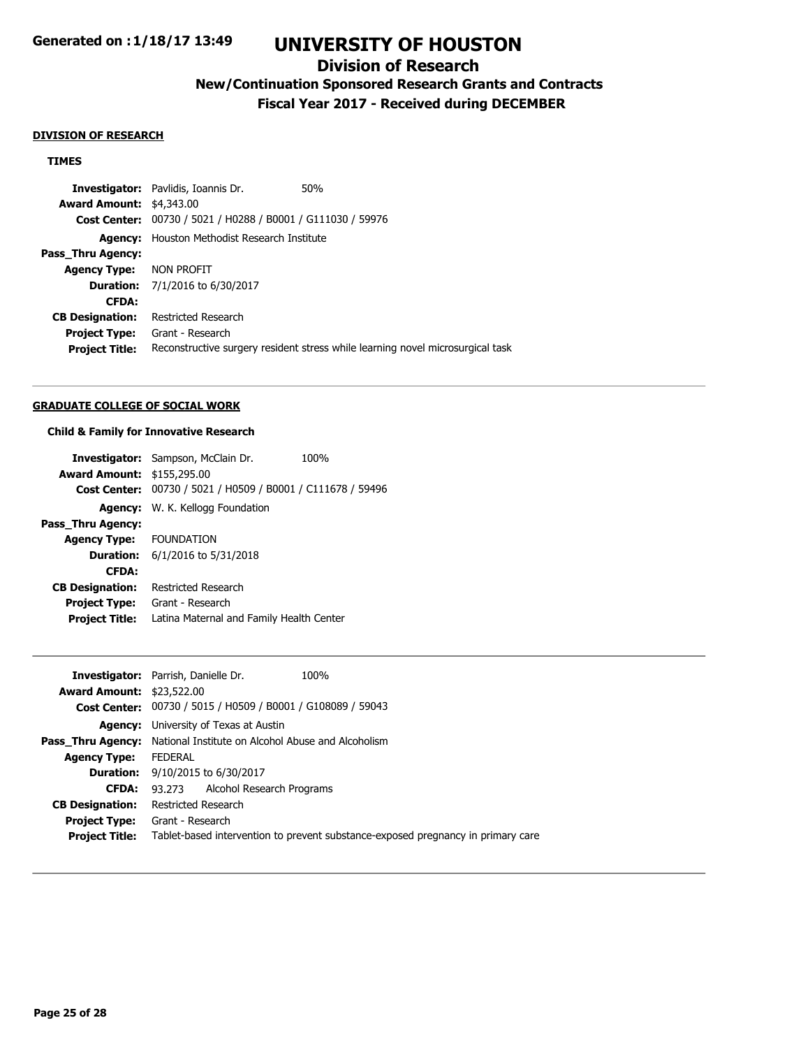## **Division of Research**

## **New/Continuation Sponsored Research Grants and Contracts**

**Fiscal Year 2017 - Received during DECEMBER**

#### **DIVISION OF RESEARCH**

#### **TIMES**

**Investigator:** Pavlidis, Ioannis Dr. 60% **Award Amount:** \$4,343.00 **Cost Center:** 00730 / 5021 / H0288 / B0001 / G111030 / 59976 **Agency:** Houston Methodist Research Institute **Pass\_Thru Agency: Agency Type:** NON PROFIT **Duration:** 7/1/2016 to 6/30/2017 **CFDA: CB Designation:** Restricted Research **Project Type:** Grant - Research **Project Title:** Reconstructive surgery resident stress while learning novel microsurgical task

#### **GRADUATE COLLEGE OF SOCIAL WORK**

#### **Child & Family for Innovative Research**

|                                   | <b>Investigator:</b> Sampson, McClain Dr.                   | 100% |
|-----------------------------------|-------------------------------------------------------------|------|
| <b>Award Amount: \$155,295.00</b> |                                                             |      |
|                                   | Cost Center: 00730 / 5021 / H0509 / B0001 / C111678 / 59496 |      |
|                                   | Agency: W. K. Kellogg Foundation                            |      |
| Pass_Thru Agency:                 |                                                             |      |
| <b>Agency Type: FOUNDATION</b>    |                                                             |      |
|                                   | <b>Duration:</b> 6/1/2016 to 5/31/2018                      |      |
| <b>CFDA:</b>                      |                                                             |      |
| <b>CB Designation:</b>            | Restricted Research                                         |      |
| <b>Project Type:</b>              | Grant - Research                                            |      |
| <b>Project Title:</b>             | Latina Maternal and Family Health Center                    |      |

|                                  | <b>Investigator:</b> Parrish, Danielle Dr.<br>100%                               |
|----------------------------------|----------------------------------------------------------------------------------|
| <b>Award Amount: \$23,522.00</b> |                                                                                  |
|                                  | Cost Center: 00730 / 5015 / H0509 / B0001 / G108089 / 59043                      |
|                                  | <b>Agency:</b> University of Texas at Austin                                     |
|                                  | <b>Pass Thru Agency:</b> National Institute on Alcohol Abuse and Alcoholism      |
| <b>Agency Type:</b>              | <b>FEDERAL</b>                                                                   |
|                                  | <b>Duration:</b> 9/10/2015 to 6/30/2017                                          |
| <b>CFDA:</b>                     | 93.273 Alcohol Research Programs                                                 |
| <b>CB Designation:</b>           | Restricted Research                                                              |
| <b>Project Type:</b>             | Grant - Research                                                                 |
| <b>Project Title:</b>            | Tablet-based intervention to prevent substance-exposed pregnancy in primary care |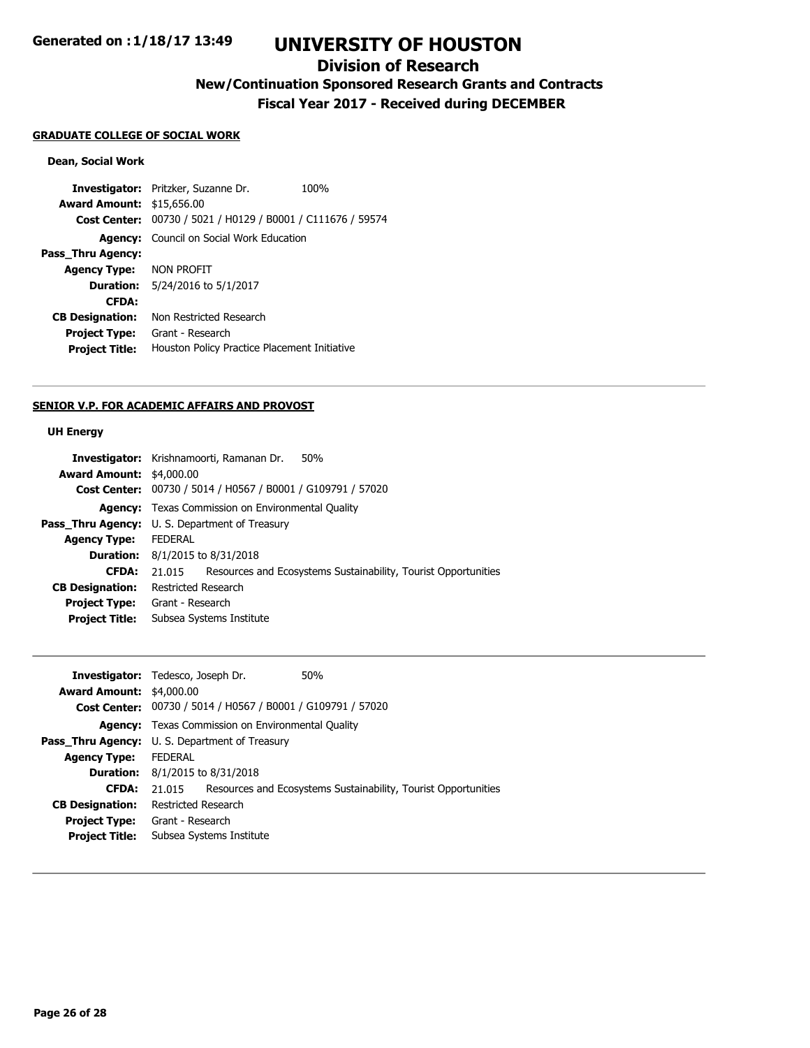## **Division of Research**

# **New/Continuation Sponsored Research Grants and Contracts**

**Fiscal Year 2017 - Received during DECEMBER**

#### **GRADUATE COLLEGE OF SOCIAL WORK**

## **Dean, Social Work**

**Investigator:** Pritzker, Suzanne Dr. 100% **Award Amount:** \$15,656.00 **Cost Center:** 00730 / 5021 / H0129 / B0001 / C111676 / 59574 **Agency:** Council on Social Work Education **Pass\_Thru Agency: Agency Type:** NON PROFIT **Duration:** 5/24/2016 to 5/1/2017 **CFDA: CB Designation:** Non Restricted Research **Project Type:** Grant - Research **Project Title:** Houston Policy Practice Placement Initiative

#### **SENIOR V.P. FOR ACADEMIC AFFAIRS AND PROVOST**

#### **UH Energy**

|                                 | Investigator: Krishnamoorti, Ramanan Dr.<br>50%                          |
|---------------------------------|--------------------------------------------------------------------------|
| <b>Award Amount: \$4,000.00</b> |                                                                          |
|                                 | Cost Center: 00730 / 5014 / H0567 / B0001 / G109791 / 57020              |
|                                 | <b>Agency:</b> Texas Commission on Environmental Quality                 |
|                                 | <b>Pass_Thru Agency:</b> U. S. Department of Treasury                    |
| <b>Agency Type:</b>             | <b>FEDERAL</b>                                                           |
|                                 | <b>Duration:</b> 8/1/2015 to 8/31/2018                                   |
| <b>CFDA:</b>                    | Resources and Ecosystems Sustainability, Tourist Opportunities<br>21.015 |
| <b>CB Designation:</b>          | Restricted Research                                                      |
|                                 | <b>Project Type:</b> Grant - Research                                    |
| <b>Project Title:</b>           | Subsea Systems Institute                                                 |
|                                 |                                                                          |

|                                 | <b>Investigator:</b> Tedesco, Joseph Dr.                           | 50%                                                            |
|---------------------------------|--------------------------------------------------------------------|----------------------------------------------------------------|
| <b>Award Amount: \$4,000.00</b> |                                                                    |                                                                |
|                                 | <b>Cost Center:</b> 00730 / 5014 / H0567 / B0001 / G109791 / 57020 |                                                                |
|                                 | <b>Agency:</b> Texas Commission on Environmental Quality           |                                                                |
|                                 | <b>Pass_Thru Agency:</b> U. S. Department of Treasury              |                                                                |
| <b>Agency Type:</b>             | <b>FEDERAL</b>                                                     |                                                                |
|                                 | <b>Duration:</b> $8/1/2015$ to $8/31/2018$                         |                                                                |
| <b>CFDA:</b>                    | 21.015                                                             | Resources and Ecosystems Sustainability, Tourist Opportunities |
| <b>CB Designation:</b>          | Restricted Research                                                |                                                                |
| <b>Project Type:</b>            | Grant - Research                                                   |                                                                |
| <b>Project Title:</b>           | Subsea Systems Institute                                           |                                                                |
|                                 |                                                                    |                                                                |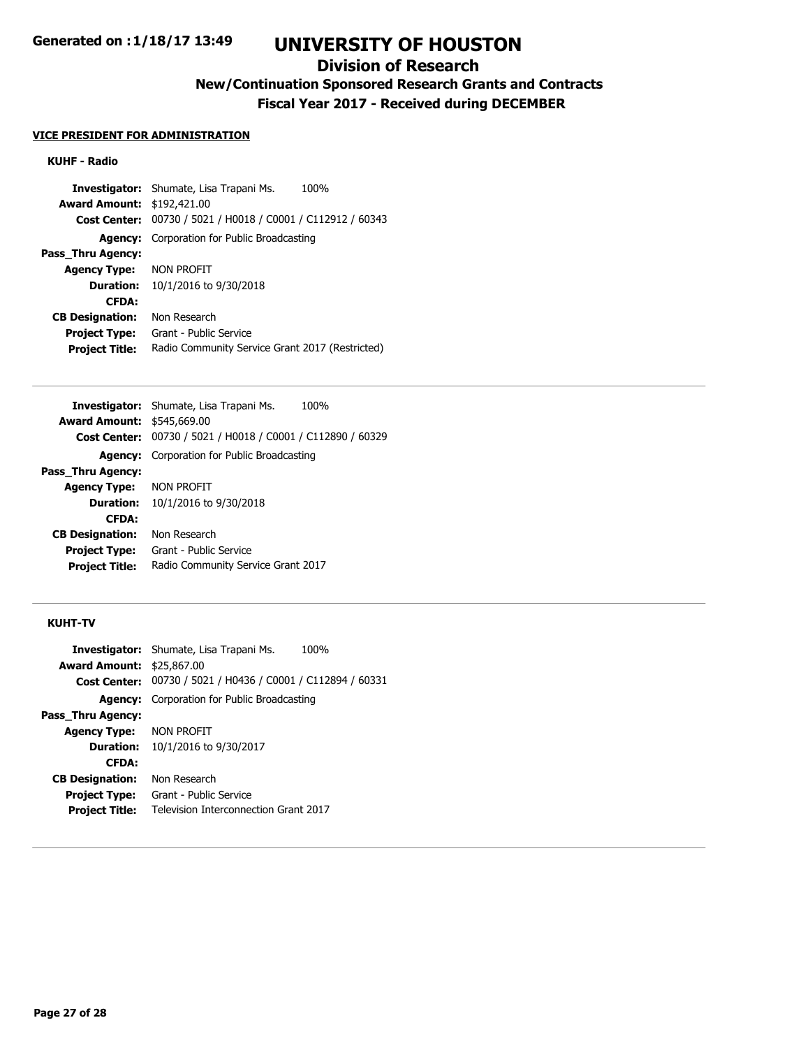### **Division of Research**

## **New/Continuation Sponsored Research Grants and Contracts**

**Fiscal Year 2017 - Received during DECEMBER**

#### **VICE PRESIDENT FOR ADMINISTRATION**

#### **KUHF - Radio**

**Investigator:** Shumate, Lisa Trapani Ms. 100% **Award Amount:** \$192,421.00 **Cost Center:** 00730 / 5021 / H0018 / C0001 / C112912 / 60343 **Agency:** Corporation for Public Broadcasting **Pass\_Thru Agency: Agency Type:** NON PROFIT **Duration:** 10/1/2016 to 9/30/2018 **CFDA: CB Designation:** Non Research **Project Type:** Grant - Public Service **Project Title:** Radio Community Service Grant 2017 (Restricted)

|                                   | <b>Investigator:</b> Shumate, Lisa Trapani Ms.<br>100%      |
|-----------------------------------|-------------------------------------------------------------|
| <b>Award Amount: \$545,669.00</b> |                                                             |
|                                   | Cost Center: 00730 / 5021 / H0018 / C0001 / C112890 / 60329 |
|                                   | <b>Agency:</b> Corporation for Public Broadcasting          |
| Pass Thru Agency:                 |                                                             |
| <b>Agency Type: NON PROFIT</b>    |                                                             |
| Duration:                         | 10/1/2016 to 9/30/2018                                      |
| <b>CFDA:</b>                      |                                                             |
| <b>CB Designation:</b>            | Non Research                                                |
| <b>Project Type:</b>              | Grant - Public Service                                      |
| <b>Project Title:</b>             | Radio Community Service Grant 2017                          |
|                                   |                                                             |

### **KUHT-TV**

|                                  | <b>Investigator:</b> Shumate, Lisa Trapani Ms.<br>100%             |
|----------------------------------|--------------------------------------------------------------------|
| <b>Award Amount: \$25,867.00</b> |                                                                    |
|                                  | <b>Cost Center:</b> 00730 / 5021 / H0436 / C0001 / C112894 / 60331 |
|                                  | <b>Agency:</b> Corporation for Public Broadcasting                 |
| Pass Thru Agency:                |                                                                    |
| <b>Agency Type: NON PROFIT</b>   |                                                                    |
| <b>Duration:</b>                 | 10/1/2016 to 9/30/2017                                             |
| <b>CFDA:</b>                     |                                                                    |
| <b>CB Designation:</b>           | Non Research                                                       |
| <b>Project Type:</b>             | Grant - Public Service                                             |
| <b>Project Title:</b>            | Television Interconnection Grant 2017                              |
|                                  |                                                                    |